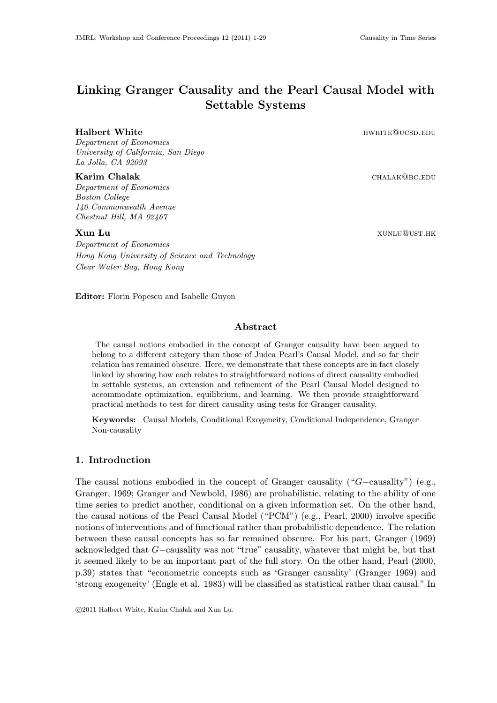# Linking Granger Causality and the Pearl Causal Model with Settable Systems

### Halbert White **Halbert White HWHITE MULLER**

Department of Economics University of California, San Diego La Jolla, CA 92093

#### Karim Chalak chalak chalak chalak chalak chalak chalak chalak chalak chalak chalak chalak chalak chalak chalak

Department of Economics Boston College 140 Commonwealth Avenue Chestnut Hill, MA 02467

Department of Economics Hong Kong University of Science and Technology Clear Water Bay, Hong Kong

Editor: Florin Popescu and Isabelle Guyon

# Abstract

The causal notions embodied in the concept of Granger causality have been argued to belong to a different category than those of Judea Pearl's Causal Model, and so far their relation has remained obscure. Here, we demonstrate that these concepts are in fact closely linked by showing how each relates to straightforward notions of direct causality embodied in settable systems, an extension and refinement of the Pearl Causal Model designed to accommodate optimization, equilibrium, and learning. We then provide straightforward practical methods to test for direct causality using tests for Granger causality.

Keywords: Causal Models, Conditional Exogeneity, Conditional Independence, Granger Non-causality

# 1. Introduction

The causal notions embodied in the concept of Granger causality ("G−causality") (e.g., Granger, 1969; Granger and Newbold, 1986) are probabilistic, relating to the ability of one time series to predict another, conditional on a given information set. On the other hand, the causal notions of the Pearl Causal Model ("PCM") (e.g., Pearl, 2000) involve specific notions of interventions and of functional rather than probabilistic dependence. The relation between these causal concepts has so far remained obscure. For his part, Granger (1969) acknowledged that G−causality was not "true" causality, whatever that might be, but that it seemed likely to be an important part of the full story. On the other hand, Pearl (2000, p.39) states that "econometric concepts such as 'Granger causality' (Granger 1969) and 'strong exogeneity' (Engle et al. 1983) will be classified as statistical rather than causal." In

c 2011 Halbert White, Karim Chalak and Xun Lu.

**Xun Lu** xunlu@ust.hk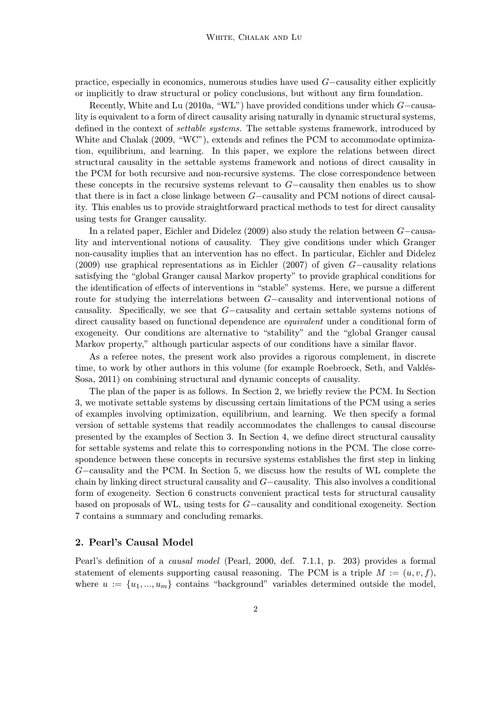practice, especially in economics, numerous studies have used G−causality either explicitly or implicitly to draw structural or policy conclusions, but without any firm foundation.

Recently, White and Lu (2010a, "WL") have provided conditions under which G−causality is equivalent to a form of direct causality arising naturally in dynamic structural systems, defined in the context of settable systems. The settable systems framework, introduced by White and Chalak (2009, "WC"), extends and refines the PCM to accommodate optimization, equilibrium, and learning. In this paper, we explore the relations between direct structural causality in the settable systems framework and notions of direct causality in the PCM for both recursive and non-recursive systems. The close correspondence between these concepts in the recursive systems relevant to G−causality then enables us to show that there is in fact a close linkage between G−causality and PCM notions of direct causality. This enables us to provide straightforward practical methods to test for direct causality using tests for Granger causality.

In a related paper, Eichler and Didelez (2009) also study the relation between G−causality and interventional notions of causality. They give conditions under which Granger non-causality implies that an intervention has no effect. In particular, Eichler and Didelez (2009) use graphical representations as in Eichler (2007) of given G−causality relations satisfying the "global Granger causal Markov property" to provide graphical conditions for the identification of effects of interventions in "stable" systems. Here, we pursue a different route for studying the interrelations between G−causality and interventional notions of causality. Specifically, we see that G−causality and certain settable systems notions of direct causality based on functional dependence are equivalent under a conditional form of exogeneity. Our conditions are alternative to "stability" and the "global Granger causal Markov property," although particular aspects of our conditions have a similar flavor.

As a referee notes, the present work also provides a rigorous complement, in discrete time, to work by other authors in this volume (for example Roebroeck, Seth, and Valdés-Sosa, 2011) on combining structural and dynamic concepts of causality.

The plan of the paper is as follows. In Section 2, we briefly review the PCM. In Section 3, we motivate settable systems by discussing certain limitations of the PCM using a series of examples involving optimization, equilibrium, and learning. We then specify a formal version of settable systems that readily accommodates the challenges to causal discourse presented by the examples of Section 3. In Section 4, we define direct structural causality for settable systems and relate this to corresponding notions in the PCM. The close correspondence between these concepts in recursive systems establishes the first step in linking G−causality and the PCM. In Section 5, we discuss how the results of WL complete the chain by linking direct structural causality and G−causality. This also involves a conditional form of exogeneity. Section 6 constructs convenient practical tests for structural causality based on proposals of WL, using tests for G−causality and conditional exogeneity. Section 7 contains a summary and concluding remarks.

# 2. Pearl's Causal Model

Pearl's definition of a causal model (Pearl, 2000, def. 7.1.1, p. 203) provides a formal statement of elements supporting causal reasoning. The PCM is a triple  $M := (u, v, f)$ , where  $u := \{u_1, ..., u_m\}$  contains "background" variables determined outside the model,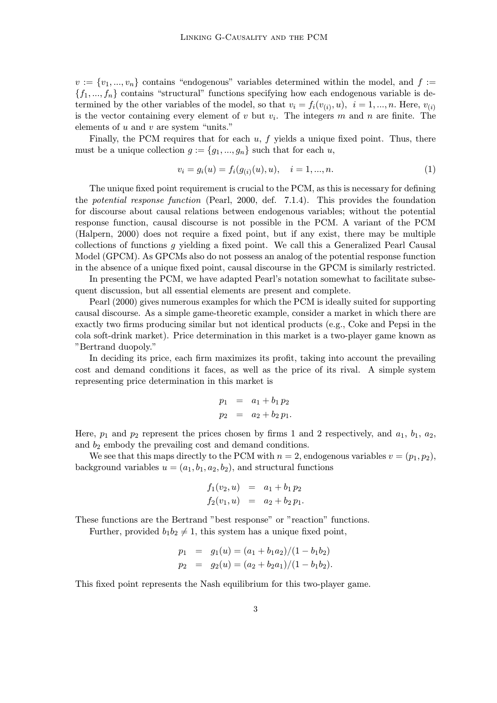$v := \{v_1, ..., v_n\}$  contains "endogenous" variables determined within the model, and  $f :=$  ${f_1, ..., f_n}$  contains "structural" functions specifying how each endogenous variable is determined by the other variables of the model, so that  $v_i = f_i(v_{(i)}, u)$ ,  $i = 1, ..., n$ . Here,  $v_{(i)}$ is the vector containing every element of v but  $v_i$ . The integers m and n are finite. The elements of u and v are system "units."

Finally, the PCM requires that for each  $u, f$  yields a unique fixed point. Thus, there must be a unique collection  $g := \{g_1, ..., g_n\}$  such that for each u,

$$
v_i = g_i(u) = f_i(g_{(i)}(u), u), \quad i = 1, ..., n.
$$
\n(1)

The unique fixed point requirement is crucial to the PCM, as this is necessary for defining the potential response function (Pearl, 2000, def. 7.1.4). This provides the foundation for discourse about causal relations between endogenous variables; without the potential response function, causal discourse is not possible in the PCM. A variant of the PCM (Halpern, 2000) does not require a fixed point, but if any exist, there may be multiple collections of functions g yielding a fixed point. We call this a Generalized Pearl Causal Model (GPCM). As GPCMs also do not possess an analog of the potential response function in the absence of a unique fixed point, causal discourse in the GPCM is similarly restricted.

In presenting the PCM, we have adapted Pearl's notation somewhat to facilitate subsequent discussion, but all essential elements are present and complete.

Pearl (2000) gives numerous examples for which the PCM is ideally suited for supporting causal discourse. As a simple game-theoretic example, consider a market in which there are exactly two firms producing similar but not identical products (e.g., Coke and Pepsi in the cola soft-drink market). Price determination in this market is a two-player game known as "Bertrand duopoly."

In deciding its price, each firm maximizes its profit, taking into account the prevailing cost and demand conditions it faces, as well as the price of its rival. A simple system representing price determination in this market is

$$
p_1 = a_1 + b_1 p_2
$$
  

$$
p_2 = a_2 + b_2 p_1.
$$

Here,  $p_1$  and  $p_2$  represent the prices chosen by firms 1 and 2 respectively, and  $a_1$ ,  $b_1$ ,  $a_2$ , and  $b_2$  embody the prevailing cost and demand conditions.

We see that this maps directly to the PCM with  $n = 2$ , endogenous variables  $v = (p_1, p_2)$ , background variables  $u = (a_1, b_1, a_2, b_2)$ , and structural functions

$$
f_1(v_2, u) = a_1 + b_1 p_2
$$
  

$$
f_2(v_1, u) = a_2 + b_2 p_1.
$$

These functions are the Bertrand "best response" or "reaction" functions.

Further, provided  $b_1b_2 \neq 1$ , this system has a unique fixed point,

$$
p_1 = g_1(u) = (a_1 + b_1 a_2)/(1 - b_1 b_2)
$$
  
\n
$$
p_2 = g_2(u) = (a_2 + b_2 a_1)/(1 - b_1 b_2).
$$

This fixed point represents the Nash equilibrium for this two-player game.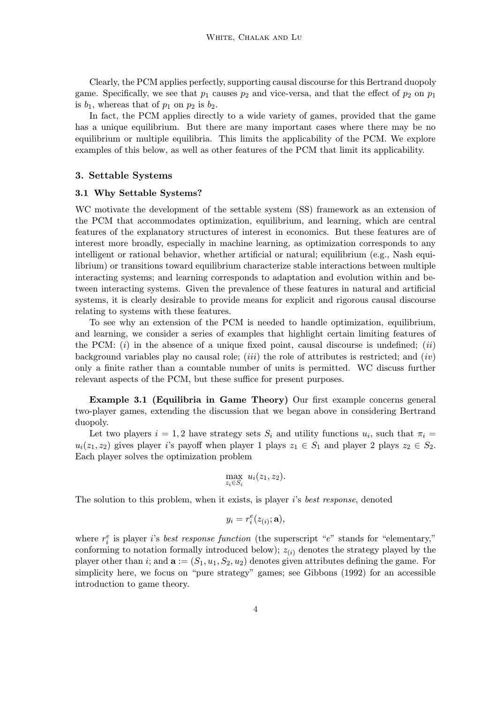Clearly, the PCM applies perfectly, supporting causal discourse for this Bertrand duopoly game. Specifically, we see that  $p_1$  causes  $p_2$  and vice-versa, and that the effect of  $p_2$  on  $p_1$ is  $b_1$ , whereas that of  $p_1$  on  $p_2$  is  $b_2$ .

In fact, the PCM applies directly to a wide variety of games, provided that the game has a unique equilibrium. But there are many important cases where there may be no equilibrium or multiple equilibria. This limits the applicability of the PCM. We explore examples of this below, as well as other features of the PCM that limit its applicability.

#### 3. Settable Systems

#### 3.1 Why Settable Systems?

WC motivate the development of the settable system (SS) framework as an extension of the PCM that accommodates optimization, equilibrium, and learning, which are central features of the explanatory structures of interest in economics. But these features are of interest more broadly, especially in machine learning, as optimization corresponds to any intelligent or rational behavior, whether artificial or natural; equilibrium (e.g., Nash equilibrium) or transitions toward equilibrium characterize stable interactions between multiple interacting systems; and learning corresponds to adaptation and evolution within and between interacting systems. Given the prevalence of these features in natural and artificial systems, it is clearly desirable to provide means for explicit and rigorous causal discourse relating to systems with these features.

To see why an extension of the PCM is needed to handle optimization, equilibrium, and learning, we consider a series of examples that highlight certain limiting features of the PCM:  $(i)$  in the absence of a unique fixed point, causal discourse is undefined;  $(ii)$ background variables play no causal role; *(iii)* the role of attributes is restricted; and *(iv)* only a finite rather than a countable number of units is permitted. WC discuss further relevant aspects of the PCM, but these suffice for present purposes.

Example 3.1 (Equilibria in Game Theory) Our first example concerns general two-player games, extending the discussion that we began above in considering Bertrand duopoly.

Let two players  $i = 1, 2$  have strategy sets  $S_i$  and utility functions  $u_i$ , such that  $\pi_i =$  $u_i(z_1, z_2)$  gives player i's payoff when player 1 plays  $z_1 \in S_1$  and player 2 plays  $z_2 \in S_2$ . Each player solves the optimization problem

$$
\max_{z_i \in S_i} u_i(z_1, z_2).
$$

The solution to this problem, when it exists, is player i's best response, denoted

$$
y_i = r_i^e(z_{(i)}; \mathbf{a}),
$$

where  $r_i^e$  is player *i*'s *best response function* (the superscript " $e$ " stands for "elementary," conforming to notation formally introduced below);  $z_{(i)}$  denotes the strategy played by the player other than i; and  $\mathbf{a} := (S_1, u_1, S_2, u_2)$  denotes given attributes defining the game. For simplicity here, we focus on "pure strategy" games; see Gibbons (1992) for an accessible introduction to game theory.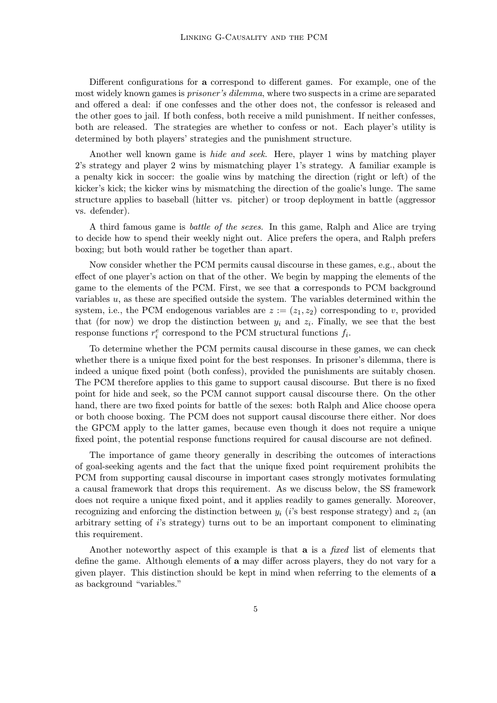Different configurations for a correspond to different games. For example, one of the most widely known games is prisoner's dilemma, where two suspects in a crime are separated and offered a deal: if one confesses and the other does not, the confessor is released and the other goes to jail. If both confess, both receive a mild punishment. If neither confesses, both are released. The strategies are whether to confess or not. Each player's utility is determined by both players' strategies and the punishment structure.

Another well known game is *hide and seek*. Here, player 1 wins by matching player 2's strategy and player 2 wins by mismatching player 1's strategy. A familiar example is a penalty kick in soccer: the goalie wins by matching the direction (right or left) of the kicker's kick; the kicker wins by mismatching the direction of the goalie's lunge. The same structure applies to baseball (hitter vs. pitcher) or troop deployment in battle (aggressor vs. defender).

A third famous game is battle of the sexes. In this game, Ralph and Alice are trying to decide how to spend their weekly night out. Alice prefers the opera, and Ralph prefers boxing; but both would rather be together than apart.

Now consider whether the PCM permits causal discourse in these games, e.g., about the effect of one player's action on that of the other. We begin by mapping the elements of the game to the elements of the PCM. First, we see that a corresponds to PCM background variables u, as these are specified outside the system. The variables determined within the system, i.e., the PCM endogenous variables are  $z := (z_1, z_2)$  corresponding to v, provided that (for now) we drop the distinction between  $y_i$  and  $z_i$ . Finally, we see that the best response functions  $r_i^e$  correspond to the PCM structural functions  $f_i$ .

To determine whether the PCM permits causal discourse in these games, we can check whether there is a unique fixed point for the best responses. In prisoner's dilemma, there is indeed a unique fixed point (both confess), provided the punishments are suitably chosen. The PCM therefore applies to this game to support causal discourse. But there is no fixed point for hide and seek, so the PCM cannot support causal discourse there. On the other hand, there are two fixed points for battle of the sexes: both Ralph and Alice choose opera or both choose boxing. The PCM does not support causal discourse there either. Nor does the GPCM apply to the latter games, because even though it does not require a unique fixed point, the potential response functions required for causal discourse are not defined.

The importance of game theory generally in describing the outcomes of interactions of goal-seeking agents and the fact that the unique fixed point requirement prohibits the PCM from supporting causal discourse in important cases strongly motivates formulating a causal framework that drops this requirement. As we discuss below, the SS framework does not require a unique fixed point, and it applies readily to games generally. Moreover, recognizing and enforcing the distinction between  $y_i$  (i's best response strategy) and  $z_i$  (an arbitrary setting of i's strategy) turns out to be an important component to eliminating this requirement.

Another noteworthy aspect of this example is that **a** is a *fixed* list of elements that define the game. Although elements of a may differ across players, they do not vary for a given player. This distinction should be kept in mind when referring to the elements of a as background "variables."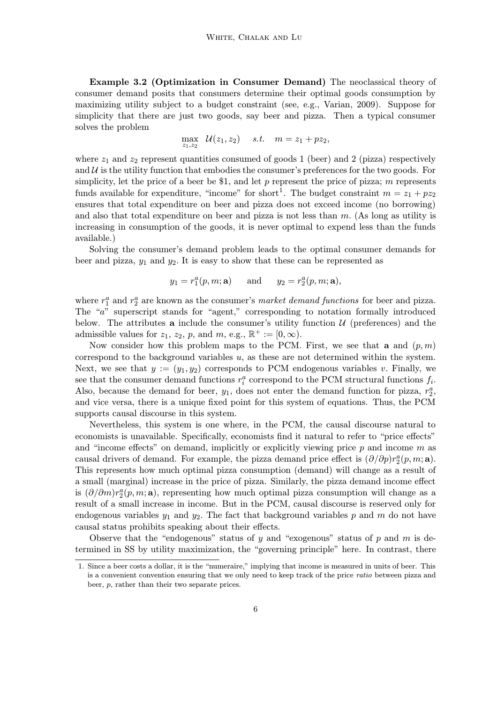Example 3.2 (Optimization in Consumer Demand) The neoclassical theory of consumer demand posits that consumers determine their optimal goods consumption by maximizing utility subject to a budget constraint (see, e.g., Varian, 2009). Suppose for simplicity that there are just two goods, say beer and pizza. Then a typical consumer solves the problem

$$
\max_{z_1, z_2} \, \mathcal{U}(z_1, z_2) \quad s.t. \quad m = z_1 + pz_2,
$$

where  $z_1$  and  $z_2$  represent quantities consumed of goods 1 (beer) and 2 (pizza) respectively and  $\mathcal U$  is the utility function that embodies the consumer's preferences for the two goods. For simplicity, let the price of a beer be \$1, and let  $p$  represent the price of pizza; m represents funds available for expenditure, "income" for short<sup>1</sup>. The budget constraint  $m = z_1 + pz_2$ ensures that total expenditure on beer and pizza does not exceed income (no borrowing) and also that total expenditure on beer and pizza is not less than  $m$ . (As long as utility is increasing in consumption of the goods, it is never optimal to expend less than the funds available.)

Solving the consumer's demand problem leads to the optimal consumer demands for beer and pizza,  $y_1$  and  $y_2$ . It is easy to show that these can be represented as

$$
y_1 = r_1^a(p, m; \mathbf{a})
$$
 and  $y_2 = r_2^a(p, m; \mathbf{a}),$ 

where  $r_1^a$  and  $r_2^a$  are known as the consumer's *market demand functions* for beer and pizza. The "a" superscript stands for "agent," corresponding to notation formally introduced below. The attributes **a** include the consumer's utility function  $\mathcal{U}$  (preferences) and the admissible values for  $z_1$ ,  $z_2$ ,  $p$ , and  $m$ , e.g.,  $\mathbb{R}^+ := [0, \infty)$ .

Now consider how this problem maps to the PCM. First, we see that a and  $(p, m)$ correspond to the background variables  $u$ , as these are not determined within the system. Next, we see that  $y := (y_1, y_2)$  corresponds to PCM endogenous variables v. Finally, we see that the consumer demand functions  $r_i^a$  correspond to the PCM structural functions  $f_i$ . Also, because the demand for beer,  $y_1$ , does not enter the demand function for pizza,  $r_2^a$ , and vice versa, there is a unique fixed point for this system of equations. Thus, the PCM supports causal discourse in this system.

Nevertheless, this system is one where, in the PCM, the causal discourse natural to economists is unavailable. Specifically, economists find it natural to refer to "price effects" and "income effects" on demand, implicitly or explicitly viewing price  $p$  and income  $m$  as causal drivers of demand. For example, the pizza demand price effect is  $(\partial/\partial p)r_2^a(p,m;{\bf a})$ . This represents how much optimal pizza consumption (demand) will change as a result of a small (marginal) increase in the price of pizza. Similarly, the pizza demand income effect is  $(\partial/\partial m)r_2^a(p,m; \mathbf{a})$ , representing how much optimal pizza consumption will change as a result of a small increase in income. But in the PCM, causal discourse is reserved only for endogenous variables  $y_1$  and  $y_2$ . The fact that background variables p and m do not have causal status prohibits speaking about their effects.

Observe that the "endogenous" status of y and "exogenous" status of p and m is determined in SS by utility maximization, the "governing principle" here. In contrast, there

<sup>1.</sup> Since a beer costs a dollar, it is the "numeraire," implying that income is measured in units of beer. This is a convenient convention ensuring that we only need to keep track of the price ratio between pizza and beer, p, rather than their two separate prices.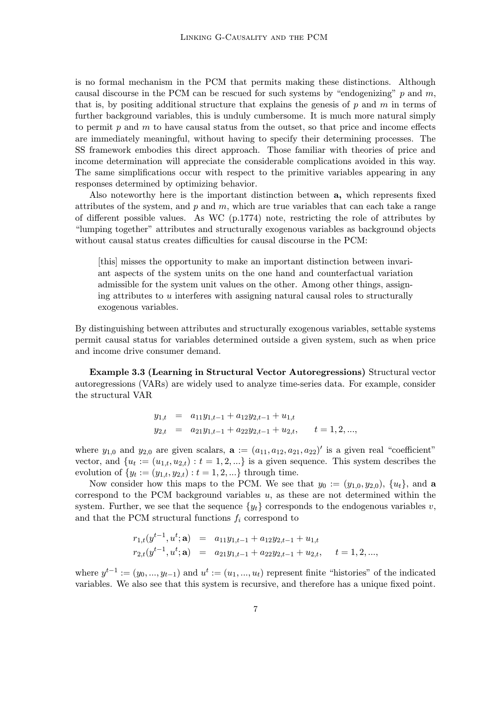is no formal mechanism in the PCM that permits making these distinctions. Although causal discourse in the PCM can be rescued for such systems by "endogenizing"  $p$  and  $m$ , that is, by positing additional structure that explains the genesis of  $p$  and  $m$  in terms of further background variables, this is unduly cumbersome. It is much more natural simply to permit  $p$  and  $m$  to have causal status from the outset, so that price and income effects are immediately meaningful, without having to specify their determining processes. The SS framework embodies this direct approach. Those familiar with theories of price and income determination will appreciate the considerable complications avoided in this way. The same simplifications occur with respect to the primitive variables appearing in any responses determined by optimizing behavior.

Also noteworthy here is the important distinction between a, which represents fixed attributes of the system, and  $p$  and  $m$ , which are true variables that can each take a range of different possible values. As WC (p.1774) note, restricting the role of attributes by "lumping together" attributes and structurally exogenous variables as background objects without causal status creates difficulties for causal discourse in the PCM:

[this] misses the opportunity to make an important distinction between invariant aspects of the system units on the one hand and counterfactual variation admissible for the system unit values on the other. Among other things, assigning attributes to  $u$  interferes with assigning natural causal roles to structurally exogenous variables.

By distinguishing between attributes and structurally exogenous variables, settable systems permit causal status for variables determined outside a given system, such as when price and income drive consumer demand.

Example 3.3 (Learning in Structural Vector Autoregressions) Structural vector autoregressions (VARs) are widely used to analyze time-series data. For example, consider the structural VAR

$$
y_{1,t} = a_{11}y_{1,t-1} + a_{12}y_{2,t-1} + u_{1,t}
$$
  
\n
$$
y_{2,t} = a_{21}y_{1,t-1} + a_{22}y_{2,t-1} + u_{2,t}, \t t = 1, 2, ...,
$$

where  $y_{1,0}$  and  $y_{2,0}$  are given scalars,  $\mathbf{a} := (a_{11}, a_{12}, a_{21}, a_{22})'$  is a given real "coefficient" vector, and  $\{u_t := (u_{1,t}, u_{2,t}) : t = 1, 2, \ldots\}$  is a given sequence. This system describes the evolution of  $\{y_t := (y_{1,t}, y_{2,t}) : t = 1, 2, ...\}$  through time.

Now consider how this maps to the PCM. We see that  $y_0 := (y_{1,0}, y_{2,0}), \{u_t\}$ , and a correspond to the PCM background variables  $u$ , as these are not determined within the system. Further, we see that the sequence  $\{y_t\}$  corresponds to the endogenous variables v, and that the PCM structural functions  $f_i$  correspond to

$$
r_{1,t}(y^{t-1}, u^t; \mathbf{a}) = a_{11}y_{1,t-1} + a_{12}y_{2,t-1} + u_{1,t}
$$
  
\n
$$
r_{2,t}(y^{t-1}, u^t; \mathbf{a}) = a_{21}y_{1,t-1} + a_{22}y_{2,t-1} + u_{2,t}, \quad t = 1, 2, ...,
$$

where  $y^{t-1} := (y_0, ..., y_{t-1})$  and  $u^t := (u_1, ..., u_t)$  represent finite "histories" of the indicated variables. We also see that this system is recursive, and therefore has a unique fixed point.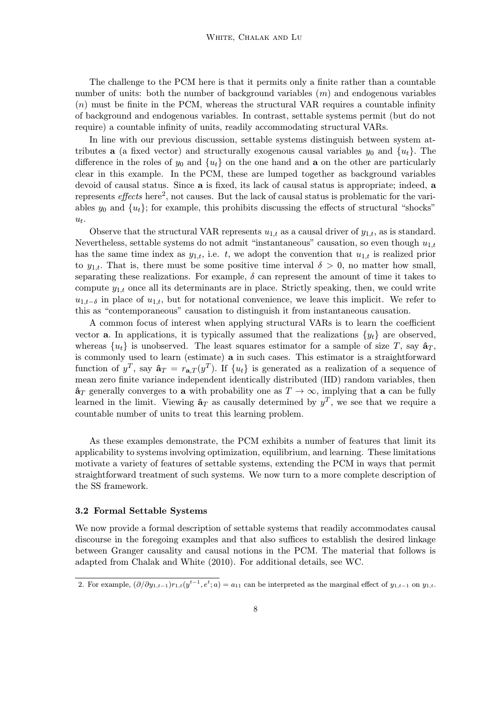The challenge to the PCM here is that it permits only a finite rather than a countable number of units: both the number of background variables  $(m)$  and endogenous variables  $(n)$  must be finite in the PCM, whereas the structural VAR requires a countable infinity of background and endogenous variables. In contrast, settable systems permit (but do not require) a countable infinity of units, readily accommodating structural VARs.

In line with our previous discussion, settable systems distinguish between system attributes **a** (a fixed vector) and structurally exogenous causal variables  $y_0$  and  $\{u_t\}$ . The difference in the roles of  $y_0$  and  $\{u_t\}$  on the one hand and **a** on the other are particularly clear in this example. In the PCM, these are lumped together as background variables devoid of causal status. Since a is fixed, its lack of causal status is appropriate; indeed, a represents effects here<sup>2</sup>, not causes. But the lack of causal status is problematic for the variables  $y_0$  and  $\{u_t\}$ ; for example, this prohibits discussing the effects of structural "shocks"  $u_t$ .

Observe that the structural VAR represents  $u_{1,t}$  as a causal driver of  $y_{1,t}$ , as is standard. Nevertheless, settable systems do not admit "instantaneous" causation, so even though  $u_{1,t}$ has the same time index as  $y_{1,t}$ , i.e. t, we adopt the convention that  $u_{1,t}$  is realized prior to  $y_{1,t}$ . That is, there must be some positive time interval  $\delta > 0$ , no matter how small, separating these realizations. For example,  $\delta$  can represent the amount of time it takes to compute  $y_{1,t}$  once all its determinants are in place. Strictly speaking, then, we could write  $u_{1,t-\delta}$  in place of  $u_{1,t}$ , but for notational convenience, we leave this implicit. We refer to this as "contemporaneous" causation to distinguish it from instantaneous causation.

A common focus of interest when applying structural VARs is to learn the coefficient vector **a**. In applications, it is typically assumed that the realizations  $\{y_t\}$  are observed, whereas  $\{u_t\}$  is unobserved. The least squares estimator for a sample of size T, say  $\hat{\mathbf{a}}_T$ , is commonly used to learn (estimate) a in such cases. This estimator is a straightforward function of  $y^T$ , say  $\hat{\mathbf{a}}_T = r_{\mathbf{a},T}(y^T)$ . If  $\{u_t\}$  is generated as a realization of a sequence of mean zero finite variance independent identically distributed (IID) random variables, then  $\hat{\mathbf{a}}_T$  generally converges to **a** with probability one as  $T \to \infty$ , implying that **a** can be fully learned in the limit. Viewing  $\hat{\mathbf{a}}_T$  as causally determined by  $y^T$ , we see that we require a countable number of units to treat this learning problem.

As these examples demonstrate, the PCM exhibits a number of features that limit its applicability to systems involving optimization, equilibrium, and learning. These limitations motivate a variety of features of settable systems, extending the PCM in ways that permit straightforward treatment of such systems. We now turn to a more complete description of the SS framework.

#### 3.2 Formal Settable Systems

We now provide a formal description of settable systems that readily accommodates causal discourse in the foregoing examples and that also suffices to establish the desired linkage between Granger causality and causal notions in the PCM. The material that follows is adapted from Chalak and White (2010). For additional details, see WC.

<sup>2.</sup> For example,  $(\partial/\partial y_{1,t-1})r_{1,t}(y^{t-1}, e^t; a) = a_{11}$  can be interpreted as the marginal effect of  $y_{1,t-1}$  on  $y_{1,t}$ .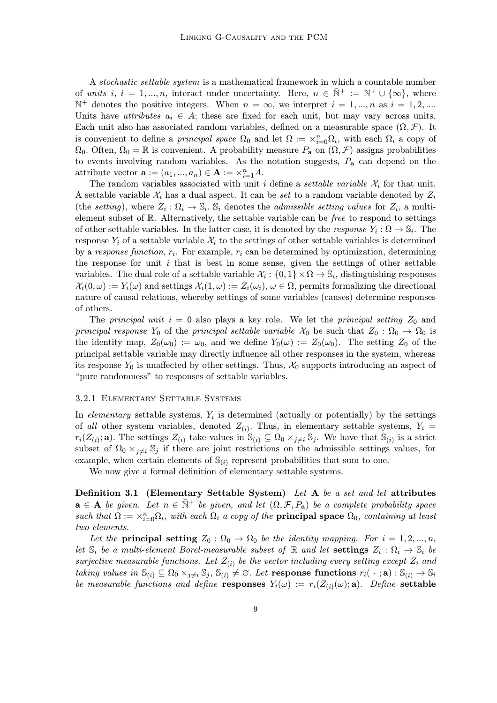A stochastic settable system is a mathematical framework in which a countable number of units i,  $i = 1, ..., n$ , interact under uncertainty. Here,  $n \in \mathbb{N}^+ := \mathbb{N}^+ \cup \{\infty\}$ , where  $\mathbb{N}^+$  denotes the positive integers. When  $n = \infty$ , we interpret  $i = 1, ..., n$  as  $i = 1, 2, ...$ Units have *attributes*  $a_i \in A$ ; these are fixed for each unit, but may vary across units. Each unit also has associated random variables, defined on a measurable space  $(\Omega, \mathcal{F})$ . It is convenient to define a *principal space*  $\Omega_0$  and let  $\Omega := \times_{i=0}^n \Omega_i$ , with each  $\Omega_i$  a copy of  $\Omega_0$ . Often,  $\Omega_0 = \mathbb{R}$  is convenient. A probability measure  $P_a$  on  $(\Omega, \mathcal{F})$  assigns probabilities to events involving random variables. As the notation suggests,  $P_a$  can depend on the attribute vector  $\mathbf{a} := (a_1, ..., a_n) \in \mathbf{A} := \times_{i=1}^n A$ .

The random variables associated with unit i define a *settable variable*  $\mathcal{X}_i$  for that unit. A settable variable  $\mathcal{X}_i$  has a dual aspect. It can be set to a random variable denoted by  $Z_i$ (the setting), where  $Z_i : \Omega_i \to \mathbb{S}_i$ . S<sub>i</sub> denotes the *admissible setting values* for  $Z_i$ , a multielement subset of R. Alternatively, the settable variable can be free to respond to settings of other settable variables. In the latter case, it is denoted by the response  $Y_i : \Omega \to \mathbb{S}_i$ . The response  $Y_i$  of a settable variable  $X_i$  to the settings of other settable variables is determined by a response function,  $r_i$ . For example,  $r_i$  can be determined by optimization, determining the response for unit  $i$  that is best in some sense, given the settings of other settable variables. The dual role of a settable variable  $\mathcal{X}_i : \{0,1\} \times \Omega \to \mathbb{S}_i$ , distinguishing responses  $\mathcal{X}_i(0,\omega) := Y_i(\omega)$  and settings  $\mathcal{X}_i(1,\omega) := Z_i(\omega_i), \omega \in \Omega$ , permits formalizing the directional nature of causal relations, whereby settings of some variables (causes) determine responses of others.

The principal unit  $i = 0$  also plays a key role. We let the principal setting  $Z_0$  and principal response Y<sub>0</sub> of the principal settable variable  $\mathcal{X}_0$  be such that  $Z_0 : \Omega_0 \to \Omega_0$  is the identity map,  $Z_0(\omega_0) := \omega_0$ , and we define  $Y_0(\omega) := Z_0(\omega_0)$ . The setting  $Z_0$  of the principal settable variable may directly influence all other responses in the system, whereas its response  $Y_0$  is unaffected by other settings. Thus,  $\mathcal{X}_0$  supports introducing an aspect of "pure randomness" to responses of settable variables.

# 3.2.1 Elementary Settable Systems

In elementary settable systems,  $Y_i$  is determined (actually or potentially) by the settings of all other system variables, denoted  $Z_{(i)}$ . Thus, in elementary settable systems,  $Y_i =$  $r_i(Z_{(i)}; \mathbf{a})$ . The settings  $Z_{(i)}$  take values in  $\mathbb{S}_{(i)} \subseteq \Omega_0 \times_{j \neq i} \mathbb{S}_j$ . We have that  $\mathbb{S}_{(i)}$  is a strict subset of  $\Omega_0 \times_{j \neq i} \mathbb{S}_j$  if there are joint restrictions on the admissible settings values, for example, when certain elements of  $\mathbb{S}_{(i)}$  represent probabilities that sum to one.

We now give a formal definition of elementary settable systems.

Definition 3.1 (Elementary Settable System) Let A be a set and let attributes  $\mathbf{a} \in \mathbf{A}$  be given. Let  $n \in \mathbb{N}^+$  be given, and let  $(\Omega, \mathcal{F}, P_{\mathbf{a}})$  be a complete probability space such that  $\Omega := \times_{i=0}^n \Omega_i$ , with each  $\Omega_i$  a copy of the **principal space**  $\Omega_0$ , containing at least two elements.

Let the principal setting  $Z_0 : \Omega_0 \to \Omega_0$  be the identity mapping. For  $i = 1, 2, ..., n$ , let  $\mathbb{S}_i$  be a multi-element Borel-measurable subset of  $\mathbb{R}$  and let settings  $Z_i : \Omega_i \to \mathbb{S}_i$  be surjective measurable functions. Let  $Z_{(i)}$  be the vector including every setting except  $Z_i$  and taking values in  $\mathbb{S}_{(i)} \subseteq \Omega_0 \times_{i \neq i} \mathbb{S}_j$ ,  $\mathbb{S}_{(i)} \neq \emptyset$ . Let response functions  $r_i(\cdot; \mathbf{a}) : \mathbb{S}_{(i)} \to \mathbb{S}_i$ be measurable functions and define responses  $Y_i(\omega) := r_i(Z_{(i)}(\omega); \mathbf{a})$ . Define settable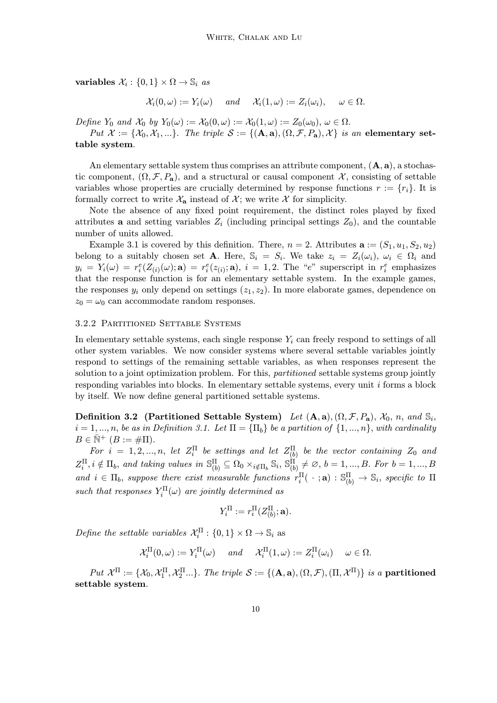variables  $\mathcal{X}_i : \{0,1\} \times \Omega \to \mathbb{S}_i$  as

$$
\mathcal{X}_i(0,\omega) := Y_i(\omega) \quad \text{and} \quad \mathcal{X}_i(1,\omega) := Z_i(\omega_i), \quad \omega \in \Omega.
$$

Define  $Y_0$  and  $\mathcal{X}_0$  by  $Y_0(\omega) := \mathcal{X}_0(0, \omega) := \mathcal{X}_0(1, \omega) := Z_0(\omega_0), \omega \in \Omega$ .

Put  $\mathcal{X} := \{ \mathcal{X}_0, \mathcal{X}_1, \ldots \}$ . The triple  $\mathcal{S} := \{ (\mathbf{A}, \mathbf{a}), (\Omega, \mathcal{F}, P_{\mathbf{a}}), \mathcal{X} \}$  is an elementary settable system.

An elementary settable system thus comprises an attribute component,  $(A, a)$ , a stochastic component,  $(\Omega, \mathcal{F}, P_a)$ , and a structural or causal component X, consisting of settable variables whose properties are crucially determined by response functions  $r := \{r_i\}$ . It is formally correct to write  $\mathcal{X}_a$  instead of  $\mathcal{X}$ ; we write  $\mathcal X$  for simplicity.

Note the absence of any fixed point requirement, the distinct roles played by fixed attributes **a** and setting variables  $Z_i$  (including principal settings  $Z_0$ ), and the countable number of units allowed.

Example 3.1 is covered by this definition. There,  $n = 2$ . Attributes  $\mathbf{a} := (S_1, u_1, S_2, u_2)$ belong to a suitably chosen set A. Here,  $\mathbb{S}_i = S_i$ . We take  $z_i = Z_i(\omega_i)$ ,  $\omega_i \in \Omega_i$  and  $y_i = Y_i(\omega) = r_i^e(Z_{(i)}(\omega); \mathbf{a}) = r_i^e(z_{(i)}; \mathbf{a}), i = 1, 2$ . The "e" superscript in  $r_i^e$  emphasizes that the response function is for an elementary settable system. In the example games, the responses  $y_i$  only depend on settings  $(z_1, z_2)$ . In more elaborate games, dependence on  $z_0 = \omega_0$  can accommodate random responses.

# 3.2.2 Partitioned Settable Systems

In elementary settable systems, each single response  $Y_i$  can freely respond to settings of all other system variables. We now consider systems where several settable variables jointly respond to settings of the remaining settable variables, as when responses represent the solution to a joint optimization problem. For this, *partitioned* settable systems group jointly responding variables into blocks. In elementary settable systems, every unit  $i$  forms a block by itself. We now define general partitioned settable systems.

Definition 3.2 (Partitioned Settable System) Let  $(A, a), (Q, \mathcal{F}, P_a), \mathcal{X}_0, n, \text{ and } \mathbb{S}_i$  $i = 1, ..., n$ , be as in Definition 3.1. Let  $\Pi = {\Pi_b}$  be a partition of  $\{1, ..., n\}$ , with cardinality  $B \in \overline{\mathbb{N}}^+$   $(B := \#\Pi)$ .

For  $i = 1, 2, ..., n$ , let  $Z_i^{\Pi}$  be settings and let  $Z_{(b)}^{\Pi}$  be the vector containing  $Z_0$  and  $Z_i^{\Pi}, i \notin \Pi_b$ , and taking values in  $\mathbb{S}^{\Pi}_{(b)} \subseteq \Omega_0 \times_{i \notin \Pi_b} \mathbb{S}_i$ ,  $\mathbb{S}^{\Pi}_{(b)} \neq \varnothing$ ,  $b = 1, ..., B$ . For  $b = 1, ..., B$ and  $i \in \Pi_b$ , suppose there exist measurable functions  $r_i^{\Pi}(\cdot;\mathbf{a}): \mathbb{S}^{\Pi}_{(b)} \to \mathbb{S}_i$ , specific to  $\Pi$ such that responses  $Y_i^{\Pi}(\omega)$  are jointly determined as

$$
Y_i^{\Pi} := r_i^{\Pi}(Z_{(b)}^{\Pi}; \mathbf{a}).
$$

Define the settable variables  $\mathcal{X}_i^{\Pi} : \{0,1\} \times \Omega \to \mathbb{S}_i$  as

$$
\mathcal{X}_i^{\Pi}(0,\omega) := Y_i^{\Pi}(\omega) \quad \text{and} \quad \mathcal{X}_i^{\Pi}(1,\omega) := Z_i^{\Pi}(\omega_i) \quad \omega \in \Omega.
$$

 $Put \ \mathcal{X}^{\Pi} := \{ \mathcal{X}_0, \mathcal{X}_1^{\Pi}, \mathcal{X}_2^{\Pi}...\}. \ The \ triple \ \mathcal{S} := \{ (\mathbf{A}, \mathbf{a}), (\Omega, \mathcal{F}), (\Pi, \mathcal{X}^{\Pi}) \} \ is \ a \ partitioned$ settable system.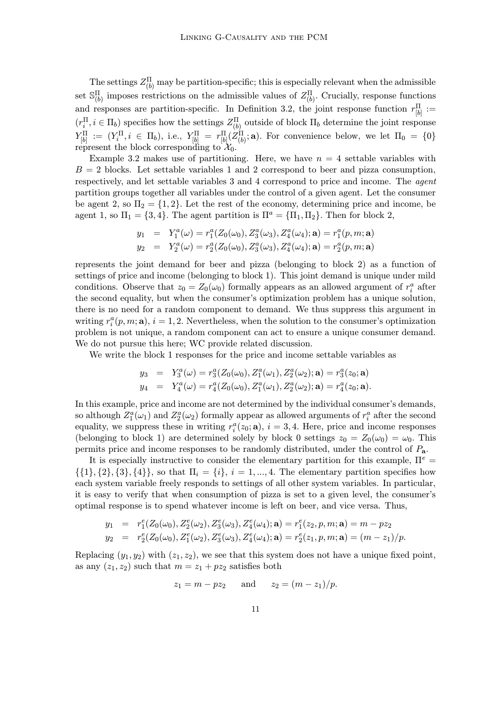The settings  $Z_{(b)}^{\Pi}$  may be partition-specific; this is especially relevant when the admissible set  $\mathbb{S}_{(b)}^{\Pi}$  imposes restrictions on the admissible values of  $Z_{(b)}^{\Pi}$ . Crucially, response functions and responses are partition-specific. In Definition 3.2, the joint response function  $r_{[b]}^{\Pi}$  :=  $(r_i^{\Pi}, i \in \Pi_b)$  specifies how the settings  $Z_{(b)}^{\Pi}$  outside of block  $\Pi_b$  determine the joint response  $Y_{[b]}^{\Pi} := (Y_i^{\Pi}, i \in \Pi_b)$ , i.e.,  $Y_{[b]}^{\Pi} = r_{[b]}^{\Pi}(Z_{(b)}^{\Pi}; \mathbf{a})$ . For convenience below, we let  $\Pi_0 = \{0\}$ represent the block corresponding to  $\mathcal{X}_0$ .

Example 3.2 makes use of partitioning. Here, we have  $n = 4$  settable variables with  $B = 2$  blocks. Let settable variables 1 and 2 correspond to beer and pizza consumption, respectively, and let settable variables 3 and 4 correspond to price and income. The agent partition groups together all variables under the control of a given agent. Let the consumer be agent 2, so  $\Pi_2 = \{1, 2\}$ . Let the rest of the economy, determining price and income, be agent 1, so  $\Pi_1 = \{3, 4\}$ . The agent partition is  $\Pi^a = \{\Pi_1, \Pi_2\}$ . Then for block 2,

$$
y_1 = Y_1^a(\omega) = r_1^a(Z_0(\omega_0), Z_3^a(\omega_3), Z_4^a(\omega_4); \mathbf{a}) = r_1^a(p, m; \mathbf{a})
$$
  
\n
$$
y_2 = Y_2^a(\omega) = r_2^a(Z_0(\omega_0), Z_3^a(\omega_3), Z_4^a(\omega_4); \mathbf{a}) = r_2^a(p, m; \mathbf{a})
$$

represents the joint demand for beer and pizza (belonging to block 2) as a function of settings of price and income (belonging to block 1). This joint demand is unique under mild conditions. Observe that  $z_0 = Z_0(\omega_0)$  formally appears as an allowed argument of  $r_i^a$  after the second equality, but when the consumer's optimization problem has a unique solution, there is no need for a random component to demand. We thus suppress this argument in writing  $r_i^a(p, m; \mathbf{a}), i = 1, 2$ . Nevertheless, when the solution to the consumer's optimization problem is not unique, a random component can act to ensure a unique consumer demand. We do not pursue this here; WC provide related discussion.

We write the block 1 responses for the price and income settable variables as

$$
y_3 = Y_3^a(\omega) = r_3^a(Z_0(\omega_0), Z_1^a(\omega_1), Z_2^a(\omega_2); \mathbf{a}) = r_3^a(z_0; \mathbf{a})
$$
  
\n
$$
y_4 = Y_4^a(\omega) = r_4^a(Z_0(\omega_0), Z_1^a(\omega_1), Z_2^a(\omega_2); \mathbf{a}) = r_4^a(z_0; \mathbf{a}).
$$

In this example, price and income are not determined by the individual consumer's demands, so although  $Z_1^a(\omega_1)$  and  $Z_2^a(\omega_2)$  formally appear as allowed arguments of  $r_i^a$  after the second equality, we suppress these in writing  $r_i^a(z_0; \mathbf{a}), i = 3, 4$ . Here, price and income responses (belonging to block 1) are determined solely by block 0 settings  $z_0 = Z_0(\omega_0) = \omega_0$ . This permits price and income responses to be randomly distributed, under the control of Pa.

It is especially instructive to consider the elementary partition for this example,  $\Pi^e$  =  $\{\{1\},\{2\},\{3\},\{4\}\}\,$  so that  $\Pi_i = \{i\}, i = 1, ..., 4$ . The elementary partition specifies how each system variable freely responds to settings of all other system variables. In particular, it is easy to verify that when consumption of pizza is set to a given level, the consumer's optimal response is to spend whatever income is left on beer, and vice versa. Thus,

$$
y_1 = r_1^e(Z_0(\omega_0), Z_2^e(\omega_2), Z_3^e(\omega_3), Z_4^e(\omega_4); \mathbf{a}) = r_1^e(z_2, p, m; \mathbf{a}) = m - pz_2
$$
  
\n
$$
y_2 = r_2^e(Z_0(\omega_0), Z_1^e(\omega_2), Z_3^e(\omega_3), Z_4^e(\omega_4); \mathbf{a}) = r_2^e(z_1, p, m; \mathbf{a}) = (m - z_1)/p.
$$

Replacing  $(y_1, y_2)$  with  $(z_1, z_2)$ , we see that this system does not have a unique fixed point, as any  $(z_1, z_2)$  such that  $m = z_1 + pz_2$  satisfies both

$$
z_1 = m - pz_2
$$
 and  $z_2 = (m - z_1)/p$ .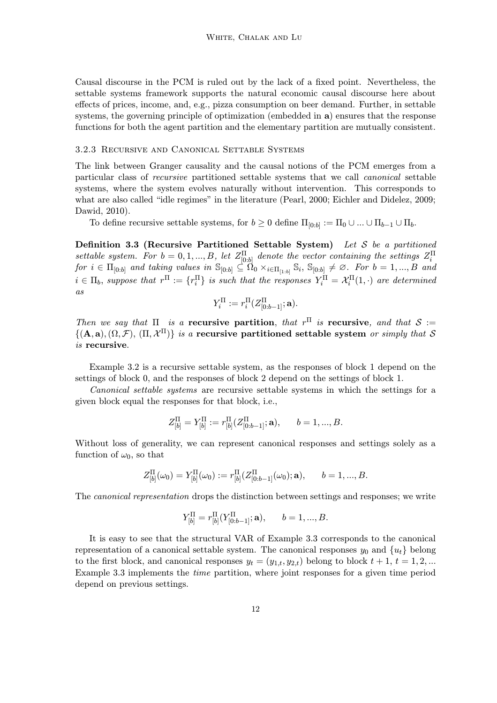Causal discourse in the PCM is ruled out by the lack of a fixed point. Nevertheless, the settable systems framework supports the natural economic causal discourse here about effects of prices, income, and, e.g., pizza consumption on beer demand. Further, in settable systems, the governing principle of optimization (embedded in a) ensures that the response functions for both the agent partition and the elementary partition are mutually consistent.

# 3.2.3 Recursive and Canonical Settable Systems

The link between Granger causality and the causal notions of the PCM emerges from a particular class of recursive partitioned settable systems that we call canonical settable systems, where the system evolves naturally without intervention. This corresponds to what are also called "idle regimes" in the literature (Pearl, 2000; Eichler and Didelez, 2009; Dawid, 2010).

To define recursive settable systems, for  $b \geq 0$  define  $\Pi_{[0:b]} := \Pi_0 \cup ... \cup \Pi_{b-1} \cup \Pi_b$ .

Definition 3.3 (Recursive Partitioned Settable System) Let S be a partitioned settable system. For  $b = 0, 1, ..., B$ , let  $Z_{[0:b]}^{\Pi}$  denote the vector containing the settings  $Z_i^{\Pi}$  $\emph{for $i\in \Pi_{[0:b]}$ and taking values in $\mathbb{S}_{[0:b]}\subseteq \Omega_0\times_{i\in \Pi_{[1:b]}}\mathbb{S}_i$, $\mathbb{S}_{[0:b]}\neq\varnothing$. For $b=1,...,B$ and}$  $i \in \Pi_b$ , suppose that  $r^{\Pi} := \{r^{\Pi}_i\}$  is such that the responses  $Y_i^{\Pi} = \mathcal{X}_i^{\Pi}(1, \cdot)$  are determined as

$$
Y_i^{\Pi} := r_i^{\Pi} (Z_{[0:b-1]}^{\Pi}; \mathbf{a}).
$$

Then we say that  $\Pi$  is a recursive partition, that  $r^{\Pi}$  is recursive, and that  $S :=$  $\{(\mathbf{A}, \mathbf{a}), (\Omega, \mathcal{F}), (\Pi, \mathcal{X}^{\Pi})\}\$ is a recursive partitioned settable system or simply that S is recursive.

Example 3.2 is a recursive settable system, as the responses of block 1 depend on the settings of block 0, and the responses of block 2 depend on the settings of block 1.

Canonical settable systems are recursive settable systems in which the settings for a given block equal the responses for that block, i.e.,

$$
Z_{[b]}^{\Pi} = Y_{[b]}^{\Pi} := r_{[b]}^{\Pi} (Z_{[0:b-1]}^{\Pi}; \mathbf{a}), \qquad b = 1, ..., B.
$$

Without loss of generality, we can represent canonical responses and settings solely as a function of  $\omega_0$ , so that

$$
Z_{[b]}^{\Pi}(\omega_0) = Y_{[b]}^{\Pi}(\omega_0) := r_{[b]}^{\Pi} (Z_{[0:b-1]}^{\Pi}(\omega_0); \mathbf{a}), \qquad b = 1, ..., B.
$$

The canonical representation drops the distinction between settings and responses; we write

$$
Y_{[b]}^{\Pi}=r_{[b]}^{\Pi}(Y_{[0:b-1]}^{\Pi};\mathbf{a}),\qquad b=1,...,B.
$$

It is easy to see that the structural VAR of Example 3.3 corresponds to the canonical representation of a canonical settable system. The canonical responses  $y_0$  and  $\{u_t\}$  belong to the first block, and canonical responses  $y_t = (y_{1,t}, y_{2,t})$  belong to block  $t + 1, t = 1, 2, ...$ Example 3.3 implements the time partition, where joint responses for a given time period depend on previous settings.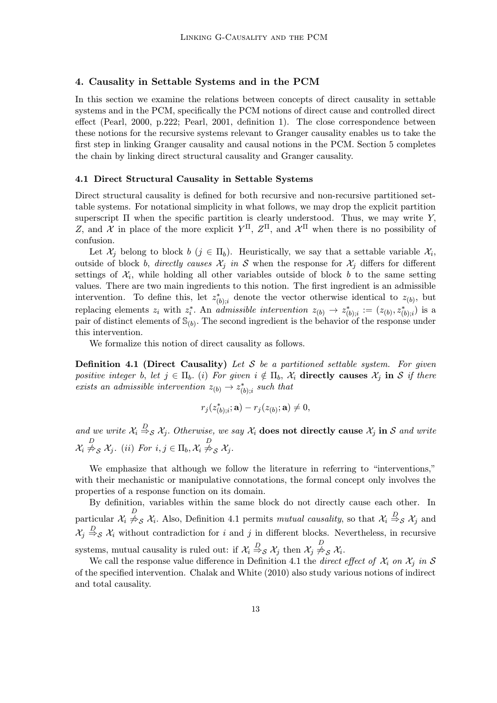# 4. Causality in Settable Systems and in the PCM

In this section we examine the relations between concepts of direct causality in settable systems and in the PCM, specifically the PCM notions of direct cause and controlled direct effect (Pearl, 2000, p.222; Pearl, 2001, definition 1). The close correspondence between these notions for the recursive systems relevant to Granger causality enables us to take the first step in linking Granger causality and causal notions in the PCM. Section 5 completes the chain by linking direct structural causality and Granger causality.

# 4.1 Direct Structural Causality in Settable Systems

Direct structural causality is defined for both recursive and non-recursive partitioned settable systems. For notational simplicity in what follows, we may drop the explicit partition superscript  $\Pi$  when the specific partition is clearly understood. Thus, we may write Y, Z, and  $\mathcal{X}$  in place of the more explicit  $Y^{\Pi}$ ,  $Z^{\Pi}$ , and  $\mathcal{X}^{\Pi}$  when there is no possibility of confusion.

Let  $\mathcal{X}_i$  belong to block  $b$  ( $j \in \Pi_b$ ). Heuristically, we say that a settable variable  $\mathcal{X}_i$ , outside of block b, directly causes  $\mathcal{X}_j$  in S when the response for  $\mathcal{X}_j$  differs for different settings of  $\mathcal{X}_i$ , while holding all other variables outside of block b to the same setting values. There are two main ingredients to this notion. The first ingredient is an admissible intervention. To define this, let  $z_{(b);i}^*$  denote the vector otherwise identical to  $z_{(b)}$ , but replacing elements  $z_i$  with  $z_i^*$ . An admissible intervention  $z_{(b)} \to z_{(b);i}^* := (z_{(b)}, z_{(b);i}^*)$  is a pair of distinct elements of  $\mathbb{S}_{(b)}$ . The second ingredient is the behavior of the response under this intervention.

We formalize this notion of direct causality as follows.

**Definition 4.1 (Direct Causality)** Let S be a partitioned settable system. For given positive integer b, let  $j \in \Pi_b$ . (i) For given  $i \notin \Pi_b$ ,  $\mathcal{X}_i$  directly causes  $\mathcal{X}_j$  in S if there exists an admissible intervention  $z_{(b)} \rightarrow z^*_{(b);i}$  such that

$$
r_j(z^*_{(b);i};\mathbf{a})-r_j(z_{(b)};\mathbf{a})\neq 0,
$$

and we write  $\mathcal{X}_i \stackrel{D}{\Rightarrow}_{\mathcal{S}} \mathcal{X}_j$ . Otherwise, we say  $\mathcal{X}_i$  does not directly cause  $\mathcal{X}_j$  in  $\mathcal{S}$  and write  $\lambda_i$  $\stackrel{D}{\not\Rightarrow}_{\mathcal{S}} \mathcal{X}_j$ . (ii) For  $i, j \in \Pi_b, \mathcal{X}_i \stackrel{D}{\not\Rightarrow}_{\mathcal{S}} \mathcal{X}_j$ .

We emphasize that although we follow the literature in referring to "interventions," with their mechanistic or manipulative connotations, the formal concept only involves the properties of a response function on its domain.

By definition, variables within the same block do not directly cause each other. In particular  $\mathcal{X}_i \stackrel{D}{\neq}_{\mathcal{S}} \mathcal{X}_i$ . Also, Definition 4.1 permits *mutual causality*, so that  $\mathcal{X}_i \stackrel{D}{\Rightarrow}_{\mathcal{S}} \mathcal{X}_j$  and  $\mathcal{X}_j \stackrel{D}{\Rightarrow}_{\mathcal{S}} \mathcal{X}_i$  without contradiction for i and j in different blocks. Nevertheless, in recursive systems, mutual causality is ruled out: if  $\mathcal{X}_i \stackrel{D}{\Rightarrow}_{\mathcal{S}} \mathcal{X}_j$  then  $\mathcal{X}_j \not\stackrel{D}{\Rightarrow}_{\mathcal{S}} \mathcal{X}_i$ .

We call the response value difference in Definition 4.1 the *direct effect of*  $\mathcal{X}_i$  on  $\mathcal{X}_j$  in S of the specified intervention. Chalak and White (2010) also study various notions of indirect and total causality.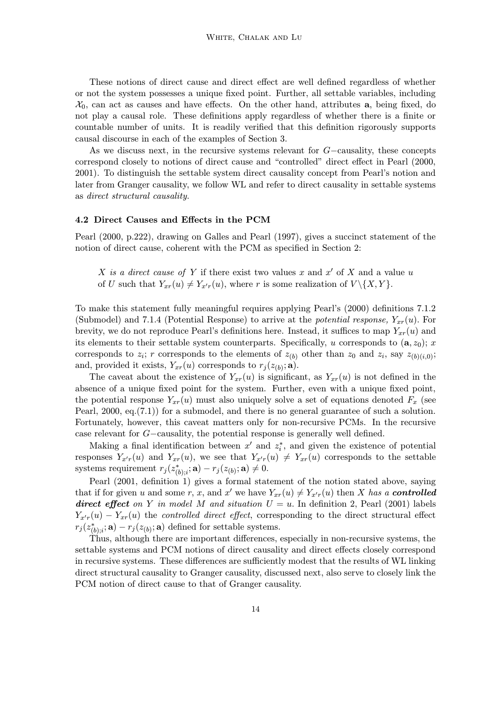These notions of direct cause and direct effect are well defined regardless of whether or not the system possesses a unique fixed point. Further, all settable variables, including  $\mathcal{X}_0$ , can act as causes and have effects. On the other hand, attributes **a**, being fixed, do not play a causal role. These definitions apply regardless of whether there is a finite or countable number of units. It is readily verified that this definition rigorously supports causal discourse in each of the examples of Section 3.

As we discuss next, in the recursive systems relevant for G−causality, these concepts correspond closely to notions of direct cause and "controlled" direct effect in Pearl (2000, 2001). To distinguish the settable system direct causality concept from Pearl's notion and later from Granger causality, we follow WL and refer to direct causality in settable systems as direct structural causality.

#### 4.2 Direct Causes and Effects in the PCM

Pearl (2000, p.222), drawing on Galles and Pearl (1997), gives a succinct statement of the notion of direct cause, coherent with the PCM as specified in Section 2:

X is a direct cause of Y if there exist two values x and  $x'$  of X and a value u of U such that  $Y_{xr}(u) \neq Y_{x'r}(u)$ , where r is some realization of  $V \setminus \{X, Y\}$ .

To make this statement fully meaningful requires applying Pearl's (2000) definitions 7.1.2 (Submodel) and 7.1.4 (Potential Response) to arrive at the *potential response*,  $Y_{xr}(u)$ . For brevity, we do not reproduce Pearl's definitions here. Instead, it suffices to map  $Y_{xr}(u)$  and its elements to their settable system counterparts. Specifically, u corresponds to  $(a, z_0)$ ; x corresponds to  $z_i$ ; r corresponds to the elements of  $z_{(b)}$  other than  $z_0$  and  $z_i$ , say  $z_{(b)(i,0)}$ ; and, provided it exists,  $Y_{xr}(u)$  corresponds to  $r_j(z_{(b)}; \mathbf{a})$ .

The caveat about the existence of  $Y_{xr}(u)$  is significant, as  $Y_{xr}(u)$  is not defined in the absence of a unique fixed point for the system. Further, even with a unique fixed point, the potential response  $Y_{xr}(u)$  must also uniquely solve a set of equations denoted  $F_x$  (see Pearl, 2000, eq.(7.1)) for a submodel, and there is no general guarantee of such a solution. Fortunately, however, this caveat matters only for non-recursive PCMs. In the recursive case relevant for G−causality, the potential response is generally well defined.

Making a final identification between  $x'$  and  $z_i^*$ , and given the existence of potential responses  $Y_{x'r}(u)$  and  $Y_{xr}(u)$ , we see that  $Y_{x'r}(u) \neq Y_{xr}(u)$  corresponds to the settable systems requirement  $r_j(z_{(b);i}^*; \mathbf{a}) - r_j(z_{(b)}; \mathbf{a}) \neq 0.$ 

Pearl (2001, definition 1) gives a formal statement of the notion stated above, saying that if for given u and some r, x, and x' we have  $Y_{xr}(u) \neq Y_{x'r}(u)$  then X has a **controlled** direct effect on Y in model M and situation  $U = u$ . In definition 2, Pearl (2001) labels  $Y_{x'r}(u) - Y_{xr}(u)$  the controlled direct effect, corresponding to the direct structural effect  $r_j(z^*_{(b);i};\mathbf{a}) - r_j(z_{(b)};\mathbf{a})$  defined for settable systems.

Thus, although there are important differences, especially in non-recursive systems, the settable systems and PCM notions of direct causality and direct effects closely correspond in recursive systems. These differences are sufficiently modest that the results of WL linking direct structural causality to Granger causality, discussed next, also serve to closely link the PCM notion of direct cause to that of Granger causality.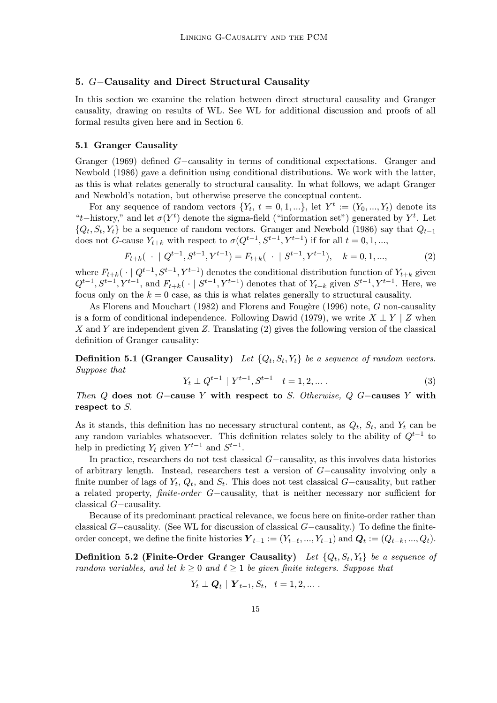# 5. G−Causality and Direct Structural Causality

In this section we examine the relation between direct structural causality and Granger causality, drawing on results of WL. See WL for additional discussion and proofs of all formal results given here and in Section 6.

# 5.1 Granger Causality

Granger (1969) defined G−causality in terms of conditional expectations. Granger and Newbold (1986) gave a definition using conditional distributions. We work with the latter, as this is what relates generally to structural causality. In what follows, we adapt Granger and Newbold's notation, but otherwise preserve the conceptual content.

For any sequence of random vectors  $\{Y_t, t = 0, 1, ...\}$ , let  $Y^t := (Y_0, ..., Y_t)$  denote its "t−history," and let  $\sigma(Y^t)$  denote the sigma-field ("information set") generated by  $Y^t$ . Let  $\{Q_t, S_t, Y_t\}$  be a sequence of random vectors. Granger and Newbold (1986) say that  $Q_{t-1}$ does not G-cause  $Y_{t+k}$  with respect to  $\sigma(Q^{t-1}, S^{t-1}, Y^{t-1})$  if for all  $t = 0, 1, ...,$ 

$$
F_{t+k}(\cdot \mid Q^{t-1}, S^{t-1}, Y^{t-1}) = F_{t+k}(\cdot \mid S^{t-1}, Y^{t-1}), \quad k = 0, 1, ..., \tag{2}
$$

where  $F_{t+k}(\cdot \mid Q^{t-1}, S^{t-1}, Y^{t-1})$  denotes the conditional distribution function of  $Y_{t+k}$  given  $Q^{t-1}, S^{t-1}, Y^{t-1},$  and  $F_{t+k}$ (  $\cdot | S^{t-1}, Y^{t-1}$ ) denotes that of  $Y_{t+k}$  given  $S^{t-1}, Y^{t-1}$ . Here, we focus only on the  $k = 0$  case, as this is what relates generally to structural causality.

As Florens and Mouchart (1982) and Florens and Fougère (1996) note, G non-causality is a form of conditional independence. Following Dawid (1979), we write  $X \perp Y \mid Z$  when X and Y are independent given Z. Translating  $(2)$  gives the following version of the classical definition of Granger causality:

**Definition 5.1 (Granger Causality)** Let  $\{Q_t, S_t, Y_t\}$  be a sequence of random vectors. Suppose that

$$
Y_t \perp Q^{t-1} \mid Y^{t-1}, S^{t-1} \quad t = 1, 2, \dots \tag{3}
$$

Then Q does not G−cause Y with respect to S. Otherwise, Q G−causes Y with respect to S.

As it stands, this definition has no necessary structural content, as  $Q_t$ ,  $S_t$ , and  $Y_t$  can be any random variables whatsoever. This definition relates solely to the ability of  $Q^{t-1}$  to help in predicting  $Y_t$  given  $Y^{t-1}$  and  $S^{t-1}$ .

In practice, researchers do not test classical G−causality, as this involves data histories of arbitrary length. Instead, researchers test a version of G−causality involving only a finite number of lags of  $Y_t$ ,  $Q_t$ , and  $S_t$ . This does not test classical G−causality, but rather a related property, finite-order G−causality, that is neither necessary nor sufficient for classical G−causality.

Because of its predominant practical relevance, we focus here on finite-order rather than classical G−causality. (See WL for discussion of classical G−causality.) To define the finiteorder concept, we define the finite histories  $\boldsymbol{Y}_{t-1} := (Y_{t-\ell}, ..., Y_{t-1})$  and  $\boldsymbol{Q}_t := (Q_{t-k}, ..., Q_t)$ .

Definition 5.2 (Finite-Order Granger Causality) Let  $\{Q_t, S_t, Y_t\}$  be a sequence of random variables, and let  $k \geq 0$  and  $\ell \geq 1$  be given finite integers. Suppose that

$$
Y_t \perp \mathbf{Q}_t | \mathbf{Y}_{t-1}, S_t, t = 1, 2, \dots
$$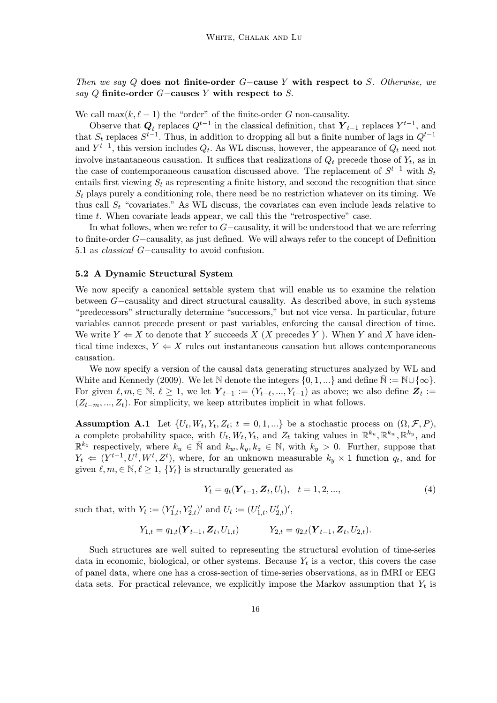Then we say Q does not finite-order  $G$ -cause Y with respect to S. Otherwise, we say Q finite-order  $G$ −causes Y with respect to S.

We call  $\max(k, \ell - 1)$  the "order" of the finite-order G non-causality.

Observe that  $Q_t$  replaces  $Q^{t-1}$  in the classical definition, that  $\hat{Y}_{t-1}$  replaces  $Y^{t-1}$ , and that  $S_t$  replaces  $S^{t-1}$ . Thus, in addition to dropping all but a finite number of lags in  $Q^{t-1}$ and  $Y^{t-1}$ , this version includes  $Q_t$ . As WL discuss, however, the appearance of  $Q_t$  need not involve instantaneous causation. It suffices that realizations of  $Q_t$  precede those of  $Y_t$ , as in the case of contemporaneous causation discussed above. The replacement of  $S^{t-1}$  with  $S_t$ entails first viewing  $S_t$  as representing a finite history, and second the recognition that since  $S_t$  plays purely a conditioning role, there need be no restriction whatever on its timing. We thus call  $S_t$  "covariates." As WL discuss, the covariates can even include leads relative to time t. When covariate leads appear, we call this the "retrospective" case.

In what follows, when we refer to G−causality, it will be understood that we are referring to finite-order G−causality, as just defined. We will always refer to the concept of Definition 5.1 as classical G−causality to avoid confusion.

#### 5.2 A Dynamic Structural System

We now specify a canonical settable system that will enable us to examine the relation between G−causality and direct structural causality. As described above, in such systems "predecessors" structurally determine "successors," but not vice versa. In particular, future variables cannot precede present or past variables, enforcing the causal direction of time. We write  $Y \leftarrow X$  to denote that Y succeeds X (X precedes Y). When Y and X have identical time indexes,  $Y \leftarrow X$  rules out instantaneous causation but allows contemporaneous causation.

We now specify a version of the causal data generating structures analyzed by WL and White and Kennedy (2009). We let N denote the integers  $\{0, 1, ...\}$  and define  $\mathbb{N} := \mathbb{N} \cup \{\infty\}$ . For given  $\ell, m \in \mathbb{N}, \ell \geq 1$ , we let  $\boldsymbol{Y}_{t-1} := (Y_{t-\ell}, ..., Y_{t-1})$  as above; we also define  $\boldsymbol{Z}_t :=$  $(Z_{t-m},..., Z_t)$ . For simplicity, we keep attributes implicit in what follows.

Assumption A.1 Let  $\{U_t, W_t, Y_t, Z_t; t = 0, 1, ...\}$  be a stochastic process on  $(\Omega, \mathcal{F}, P)$ , a complete probability space, with  $U_t, W_t, Y_t$ , and  $Z_t$  taking values in  $\mathbb{R}^{k_u}, \mathbb{R}^{k_w}, \mathbb{R}^{k_y}$ , and  $\mathbb{R}^{k_z}$  respectively, where  $k_u \in \bar{\mathbb{N}}$  and  $k_w, k_y, k_z \in \mathbb{N}$ , with  $k_y > 0$ . Further, suppose that  $Y_t \Leftarrow (Y^{t-1}, U^t, W^t, Z^t)$ , where, for an unknown measurable  $k_y \times 1$  function  $q_t$ , and for given  $\ell, m \in \mathbb{N}, \ell \geq 1, \{Y_t\}$  is structurally generated as

$$
Y_t = q_t(\mathbf{Y}_{t-1}, \mathbf{Z}_t, U_t), \quad t = 1, 2, ..., \tag{4}
$$

such that, with  $Y_t := (Y'_{1,t}, Y'_{2,t})'$  and  $U_t := (U'_{1,t}, U'_{2,t})'$ ,

$$
Y_{1,t} = q_{1,t}(\boldsymbol{Y}_{t-1}, \boldsymbol{Z}_t, U_{1,t})
$$
  $Y_{2,t} = q_{2,t}(\boldsymbol{Y}_{t-1}, \boldsymbol{Z}_t, U_{2,t}).$ 

Such structures are well suited to representing the structural evolution of time-series data in economic, biological, or other systems. Because  $Y_t$  is a vector, this covers the case of panel data, where one has a cross-section of time-series observations, as in fMRI or EEG data sets. For practical relevance, we explicitly impose the Markov assumption that  $Y_t$  is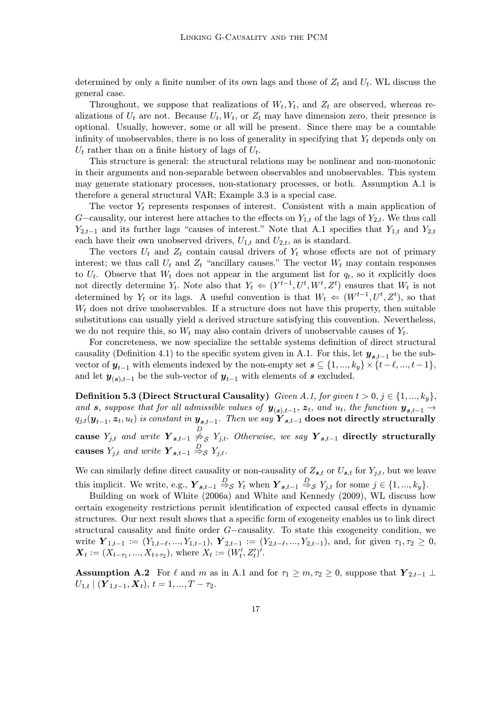determined by only a finite number of its own lags and those of  $Z_t$  and  $U_t$ . WL discuss the general case.

Throughout, we suppose that realizations of  $W_t, Y_t$ , and  $Z_t$  are observed, whereas realizations of  $U_t$  are not. Because  $U_t, W_t$ , or  $Z_t$  may have dimension zero, their presence is optional. Usually, however, some or all will be present. Since there may be a countable infinity of unobservables, there is no loss of generality in specifying that  $Y_t$  depends only on  $U_t$  rather than on a finite history of lags of  $U_t$ .

This structure is general: the structural relations may be nonlinear and non-monotonic in their arguments and non-separable between observables and unobservables. This system may generate stationary processes, non-stationary processes, or both. Assumption A.1 is therefore a general structural VAR; Example 3.3 is a special case.

The vector  $Y_t$  represents responses of interest. Consistent with a main application of G−causality, our interest here attaches to the effects on  $Y_{1,t}$  of the lags of  $Y_{2,t}$ . We thus call  $Y_{2,t-1}$  and its further lags "causes of interest." Note that A.1 specifies that  $Y_{1,t}$  and  $Y_{2,t}$ each have their own unobserved drivers,  $U_{1,t}$  and  $U_{2,t}$ , as is standard.

The vectors  $U_t$  and  $Z_t$  contain causal drivers of  $Y_t$  whose effects are not of primary interest; we thus call  $U_t$  and  $Z_t$  "ancillary causes." The vector  $W_t$  may contain responses to  $U_t$ . Observe that  $W_t$  does not appear in the argument list for  $q_t$ , so it explicitly does not directly determine  $Y_t$ . Note also that  $Y_t \Leftarrow (Y^{t-1}, U^t, W^t, Z^t)$  ensures that  $W_t$  is not determined by  $Y_t$  or its lags. A useful convention is that  $W_t \Leftarrow (W^{t-1}, U^t, Z^t)$ , so that  $W_t$  does not drive unobservables. If a structure does not have this property, then suitable substitutions can usually yield a derived structure satisfying this convention. Nevertheless, we do not require this, so  $W_t$  may also contain drivers of unobservable causes of  $Y_t$ .

For concreteness, we now specialize the settable systems definition of direct structural causality (Definition 4.1) to the specific system given in A.1. For this, let  $y_{s,t-1}$  be the subvector of  $y_{t-1}$  with elements indexed by the non-empty set  $s \subseteq \{1, ..., k_y\} \times \{t-\ell, ..., t-1\}$ , and let  $y_{(s),t-1}$  be the sub-vector of  $y_{t-1}$  with elements of s excluded.

**Definition 5.3 (Direct Structural Causality)** Given A.1, for given  $t > 0, j \in \{1, ..., k_y\}$ , and s, suppose that for all admissible values of  $y_{(s),t-1}, z_t$ , and  $u_t$ , the function  $y_{s,t-1} \rightarrow$  $q_{j,t}(\bm{y}_{t-1}, \bm{z}_t, u_t)$  is constant in  $\bm{y}_{\bm{s},t-1}$ . Then we say  $\bm{Y}_{\bm{s},t-1}$  does not directly structurally cause  $Y_{j,t}$  and write  $\overline{Y}_{s,t-1} \overset{D}{\neq_S} Y_{j,t}$ . Otherwise, we say  $\overline{Y}_{s,t-1}$  directly structurally causes  $Y_{j,t}$  and write  $\boldsymbol{Y}_{s,t-1} \stackrel{D}{\Rightarrow}_{\mathcal{S}} Y_{j,t}$ .

We can similarly define direct causality or non-causality of  $Z_{s,t}$  or  $U_{s,t}$  for  $Y_{j,t}$ , but we leave this implicit. We write, e.g.,  $\mathbf{Y}_{s,t-1} \stackrel{D}{\Rightarrow}_{\mathcal{S}} Y_t$  when  $\mathbf{Y}_{s,t-1} \stackrel{D}{\Rightarrow}_{\mathcal{S}} Y_{j,t}$  for some  $j \in \{1, ..., k_y\}$ .

Building on work of White (2006a) and White and Kennedy (2009), WL discuss how certain exogeneity restrictions permit identification of expected causal effects in dynamic structures. Our next result shows that a specific form of exogeneity enables us to link direct structural causality and finite order G−causality. To state this exogeneity condition, we write  $\mathbf{Y}_{1,t-1} := (Y_{1,t-\ell}, ..., Y_{1,t-1}), \ \mathbf{Y}_{2,t-1} := (Y_{2,t-\ell}, ..., Y_{2,t-1}),$  and, for given  $\tau_1, \tau_2 \geq 0$ ,  $\boldsymbol{X}_t := (X_{t-\tau_1}, ..., X_{t+\tau_2}),$  where  $X_t := (W'_t, Z'_t)'$ .

Assumption A.2 For  $\ell$  and m as in A.1 and for  $\tau_1 \geq m, \tau_2 \geq 0$ , suppose that  $Y_{2,t-1} \perp$  $U_{1,t} | (\boldsymbol{Y}_{1,t-1}, \boldsymbol{X}_t), t = 1, ..., T - \tau_2.$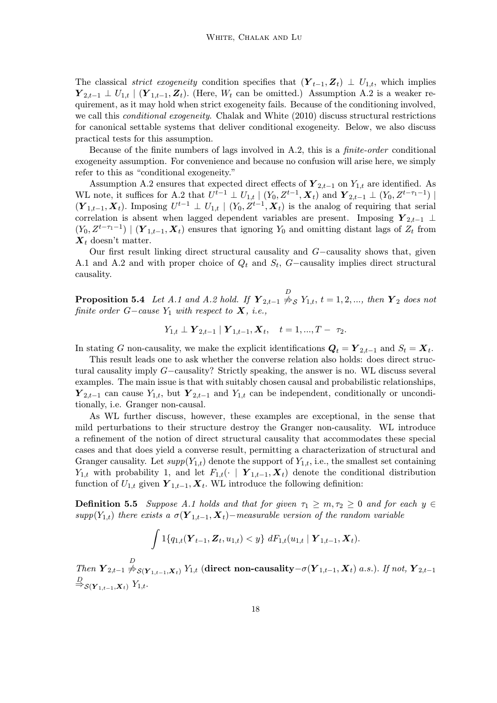The classical *strict exogeneity* condition specifies that  $(Y_{t-1}, Z_t) \perp U_{1,t}$ , which implies  $\mathbf{Y}_{2,t-1} \perp U_{1,t} \mid (\mathbf{Y}_{1,t-1}, \mathbf{Z}_t)$ . (Here,  $W_t$  can be omitted.) Assumption A.2 is a weaker requirement, as it may hold when strict exogeneity fails. Because of the conditioning involved, we call this conditional exogeneity. Chalak and White (2010) discuss structural restrictions for canonical settable systems that deliver conditional exogeneity. Below, we also discuss practical tests for this assumption.

Because of the finite numbers of lags involved in A.2, this is a finite-order conditional exogeneity assumption. For convenience and because no confusion will arise here, we simply refer to this as "conditional exogeneity."

Assumption A.2 ensures that expected direct effects of  $\mathbf{Y}_{2,t-1}$  on  $Y_{1,t}$  are identified. As WL note, it suffices for A.2 that  $U^{t-1} \perp U_{1,t} \mid (Y_0, Z^{t-1}, X_t)$  and  $\boldsymbol{Y}_{2,t-1} \perp (Y_0, Z^{t-\tau_1-1}) \mid$  $(\boldsymbol{Y}_{1,t-1}, \boldsymbol{X}_t)$ . Imposing  $U^{t-1} \perp U_{1,t} \mid (Y_0, Z^{t-1}, \boldsymbol{X}_t)$  is the analog of requiring that serial correlation is absent when lagged dependent variables are present. Imposing  $Y_{2,t-1}$  ⊥  $(Y_0, Z^{t-\tau_1-1}) \mid (\boldsymbol{Y}_{1,t-1}, \boldsymbol{X}_t)$  ensures that ignoring  $Y_0$  and omitting distant lags of  $Z_t$  from  $\mathbf{X}_t$  doesn't matter.

Our first result linking direct structural causality and G−causality shows that, given A.1 and A.2 and with proper choice of  $Q_t$  and  $S_t$ , G–causality implies direct structural causality.

**Proposition 5.4** Let A.1 and A.2 hold. If  $\mathbf{Y}_{2,t-1} \overset{D}{\nrightarrow} S$   $Y_{1,t}$ ,  $t = 1, 2, ...,$  then  $\mathbf{Y}_2$  does not finite order  $G$ −cause  $Y_1$  with respect to  $\boldsymbol{X}$ , i.e.,

$$
Y_{1,t} \perp \mathbf{Y}_{2,t-1} | \mathbf{Y}_{1,t-1}, \mathbf{X}_t, \quad t = 1, ..., T - \tau_2.
$$

In stating G non-causality, we make the explicit identifications  $Q_t = Y_{2,t-1}$  and  $S_t = X_t$ .

This result leads one to ask whether the converse relation also holds: does direct structural causality imply G−causality? Strictly speaking, the answer is no. WL discuss several examples. The main issue is that with suitably chosen causal and probabilistic relationships,  $\mathbf{Y}_{2,t-1}$  can cause  $Y_{1,t}$ , but  $\mathbf{Y}_{2,t-1}$  and  $Y_{1,t}$  can be independent, conditionally or unconditionally, i.e. Granger non-causal.

As WL further discuss, however, these examples are exceptional, in the sense that mild perturbations to their structure destroy the Granger non-causality. WL introduce a refinement of the notion of direct structural causality that accommodates these special cases and that does yield a converse result, permitting a characterization of structural and Granger causality. Let  $supp(Y_{1,t})$  denote the support of  $Y_{1,t}$ , i.e., the smallest set containing  $Y_{1,t}$  with probability 1, and let  $F_{1,t}(\cdot \mid \boldsymbol{Y}_{1,t-1}, \boldsymbol{X}_t)$  denote the conditional distribution function of  $U_{1,t}$  given  $\boldsymbol{Y}_{1,t-1}, \boldsymbol{X}_t$ . WL introduce the following definition:

**Definition 5.5** Suppose A.1 holds and that for given  $\tau_1 \geq m, \tau_2 \geq 0$  and for each  $y \in$ supp(Y<sub>1,t</sub>) there exists a  $\sigma(Y_{1,t-1}, X_t)$ −measurable version of the random variable

$$
\int 1\{q_{1,t}(\boldsymbol{Y}_{t-1},\boldsymbol{Z}_{t},\boldsymbol{u}_{1,t}) < y\} \; dF_{1,t}(\boldsymbol{u}_{1,t} \mid \boldsymbol{Y}_{1,t-1},\boldsymbol{X}_{t}).
$$

Then  $\overline{Y}_{2,t-1} \stackrel{D}{\nrightarrow} _{\mathcal{S}(Y_{1,t-1},\overline{X}_t)} Y_{1,t}$  (direct non-causality- $\sigma(Y_{1,t-1},\overline{X}_t)$  a.s.). If not,  $Y_{2,t-1}$  $\stackrel{D}{\Rightarrow}_{\mathcal{S}(\boldsymbol{Y}_{1,t-1},\boldsymbol{X}_t)} Y_{1,t}.$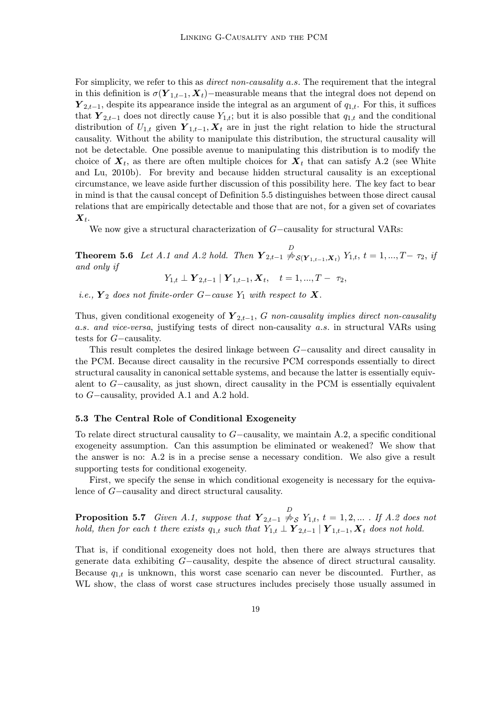For simplicity, we refer to this as *direct non-causality a.s.* The requirement that the integral in this definition is  $\sigma(Y_{1,t-1}, X_t)$ −measurable means that the integral does not depend on  $\mathbf{Y}_{2,t-1}$ , despite its appearance inside the integral as an argument of  $q_{1,t}$ . For this, it suffices that  $\mathbf{Y}_{2,t-1}$  does not directly cause  $Y_{1,t}$ ; but it is also possible that  $q_{1,t}$  and the conditional distribution of  $U_{1,t}$  given  $\boldsymbol{Y}_{1,t-1}, \boldsymbol{X}_t$  are in just the right relation to hide the structural causality. Without the ability to manipulate this distribution, the structural causality will not be detectable. One possible avenue to manipulating this distribution is to modify the choice of  $X_t$ , as there are often multiple choices for  $X_t$  that can satisfy A.2 (see White and Lu, 2010b). For brevity and because hidden structural causality is an exceptional circumstance, we leave aside further discussion of this possibility here. The key fact to bear in mind is that the causal concept of Definition 5.5 distinguishes between those direct causal relations that are empirically detectable and those that are not, for a given set of covariates  $\boldsymbol{X}_{t}$ .

We now give a structural characterization of G−causality for structural VARs:

**Theorem 5.6** Let A.1 and A.2 hold. Then  $\mathbf{Y}_{2,t-1} \overset{D}{\nrightarrow} s(\mathbf{Y}_{1,t-1}, \mathbf{X}_t)$   $Y_{1,t}$ ,  $t = 1, ..., T-\tau_2$ , if and only if

$$
Y_{1,t} \perp \mathbf{Y}_{2,t-1} | \mathbf{Y}_{1,t-1}, \mathbf{X}_t, \quad t = 1, ..., T - \tau_2,
$$

i.e.,  $Y_2$  does not finite-order G−cause  $Y_1$  with respect to  $X$ .

Thus, given conditional exogeneity of  $\mathbf{Y}_{2,t-1}$ , G non-causality implies direct non-causality a.s. and vice-versa, justifying tests of direct non-causality a.s. in structural VARs using tests for G−causality.

This result completes the desired linkage between G−causality and direct causality in the PCM. Because direct causality in the recursive PCM corresponds essentially to direct structural causality in canonical settable systems, and because the latter is essentially equivalent to G−causality, as just shown, direct causality in the PCM is essentially equivalent to G−causality, provided A.1 and A.2 hold.

#### 5.3 The Central Role of Conditional Exogeneity

To relate direct structural causality to G−causality, we maintain A.2, a specific conditional exogeneity assumption. Can this assumption be eliminated or weakened? We show that the answer is no: A.2 is in a precise sense a necessary condition. We also give a result supporting tests for conditional exogeneity.

First, we specify the sense in which conditional exogeneity is necessary for the equivalence of G−causality and direct structural causality.

**Proposition 5.7** Given A.1, suppose that  $\mathbf{Y}_{2,t-1} \overset{D}{\nrightarrow} S$   $Y_{1,t}$ ,  $t = 1, 2, ...$  . If A.2 does not hold, then for each t there exists  $q_{1,t}$  such that  $Y_{1,t} \perp Y_{2,t-1} | Y_{1,t-1}, X_t$  does not hold.

That is, if conditional exogeneity does not hold, then there are always structures that generate data exhibiting G−causality, despite the absence of direct structural causality. Because  $q_{1,t}$  is unknown, this worst case scenario can never be discounted. Further, as WL show, the class of worst case structures includes precisely those usually assumed in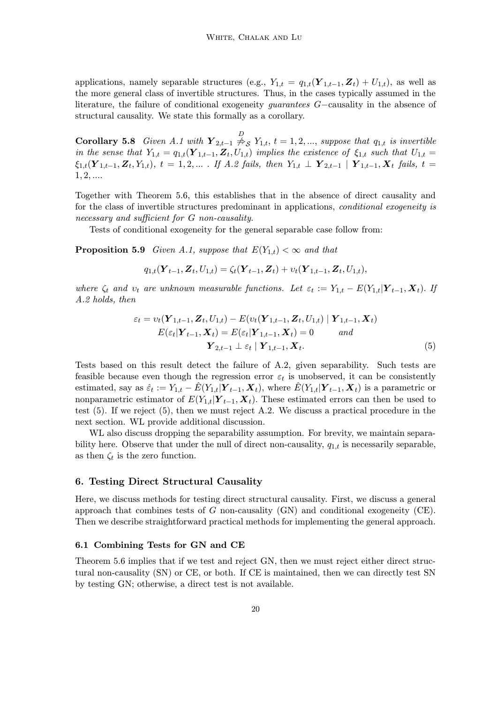applications, namely separable structures (e.g.,  $Y_{1,t} = q_{1,t}(Y_{1,t-1}, Z_t) + U_{1,t}$ ), as well as the more general class of invertible structures. Thus, in the cases typically assumed in the literature, the failure of conditional exogeneity guarantees G−causality in the absence of structural causality. We state this formally as a corollary.

**Corollary 5.8** Given A.1 with  $\mathbf{Y}_{2,t-1} \overset{D}{\neq_S} Y_{1,t}$ ,  $t = 1, 2, ...,$  suppose that  $q_{1,t}$  is invertible in the sense that  $Y_{1,t} = q_{1,t}(Y_{1,t-1}, Z_t, U_{1,t})$  implies the existence of  $\xi_{1,t}$  such that  $U_{1,t} =$  $\xi_{1,t}(\boldsymbol{Y}_{1,t-1}, \boldsymbol{Z}_t, Y_{1,t}), t = 1, 2, ...$  If A.2 fails, then  $Y_{1,t} \perp Y_{2,t-1} | Y_{1,t-1}, X_t$  fails, t =  $1, 2, \ldots$ 

Together with Theorem 5.6, this establishes that in the absence of direct causality and for the class of invertible structures predominant in applications, conditional exogeneity is necessary and sufficient for G non-causality.

Tests of conditional exogeneity for the general separable case follow from:

**Proposition 5.9** Given A.1, suppose that  $E(Y_{1,t}) < \infty$  and that

$$
q_{1,t}(\boldsymbol{Y}_{t-1}, \boldsymbol{Z}_{t}, U_{1,t}) = \zeta_t(\boldsymbol{Y}_{t-1}, \boldsymbol{Z}_{t}) + v_t(\boldsymbol{Y}_{1,t-1}, \boldsymbol{Z}_{t}, U_{1,t}),
$$

where  $\zeta_t$  and  $v_t$  are unknown measurable functions. Let  $\varepsilon_t := Y_{1,t} - E(Y_{1,t}|\boldsymbol{Y}_{t-1}, \boldsymbol{X}_t)$ . If A.2 holds, then

$$
\varepsilon_{t} = v_{t}(\boldsymbol{Y}_{1,t-1}, \boldsymbol{Z}_{t}, U_{1,t}) - E(v_{t}(\boldsymbol{Y}_{1,t-1}, \boldsymbol{Z}_{t}, U_{1,t}) | \boldsymbol{Y}_{1,t-1}, \boldsymbol{X}_{t}) \nE(\varepsilon_{t} | \boldsymbol{Y}_{t-1}, \boldsymbol{X}_{t}) = E(\varepsilon_{t} | \boldsymbol{Y}_{1,t-1}, \boldsymbol{X}_{t}) = 0 \quad and \n\boldsymbol{Y}_{2,t-1} \perp \varepsilon_{t} | \boldsymbol{Y}_{1,t-1}, \boldsymbol{X}_{t}.
$$
\n(5)

Tests based on this result detect the failure of A.2, given separability. Such tests are feasible because even though the regression error  $\varepsilon_t$  is unobserved, it can be consistently estimated, say as  $\hat{\varepsilon}_t := Y_{1,t} - \hat{E}(Y_{1,t} | \boldsymbol{Y}_{t-1}, \boldsymbol{X}_t)$ , where  $\hat{E}(Y_{1,t} | \boldsymbol{Y}_{t-1}, \boldsymbol{X}_t)$  is a parametric or nonparametric estimator of  $E(Y_{1,t}|\boldsymbol{Y}_{t-1}, \boldsymbol{X}_t)$ . These estimated errors can then be used to test (5). If we reject (5), then we must reject A.2. We discuss a practical procedure in the next section. WL provide additional discussion.

WL also discuss dropping the separability assumption. For brevity, we maintain separability here. Observe that under the null of direct non-causality,  $q_{1,t}$  is necessarily separable, as then  $\zeta_t$  is the zero function.

# 6. Testing Direct Structural Causality

Here, we discuss methods for testing direct structural causality. First, we discuss a general approach that combines tests of  $G$  non-causality  $(GN)$  and conditional exogeneity  $(CE)$ . Then we describe straightforward practical methods for implementing the general approach.

#### 6.1 Combining Tests for GN and CE

Theorem 5.6 implies that if we test and reject GN, then we must reject either direct structural non-causality (SN) or CE, or both. If CE is maintained, then we can directly test SN by testing GN; otherwise, a direct test is not available.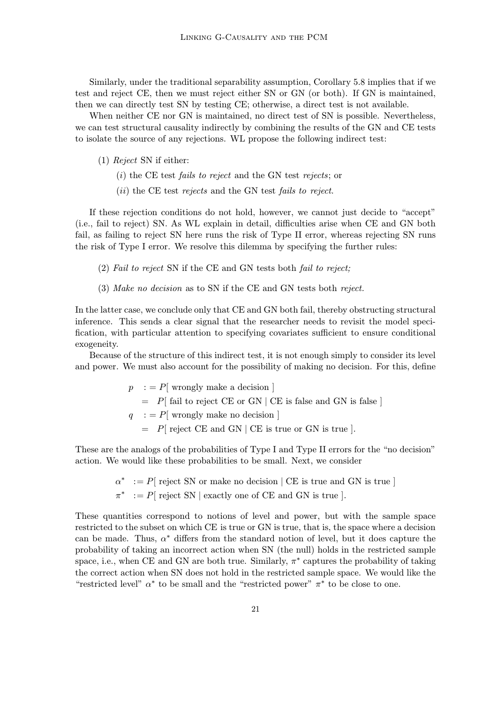Similarly, under the traditional separability assumption, Corollary 5.8 implies that if we test and reject CE, then we must reject either SN or GN (or both). If GN is maintained, then we can directly test SN by testing CE; otherwise, a direct test is not available.

When neither CE nor GN is maintained, no direct test of SN is possible. Nevertheless, we can test structural causality indirectly by combining the results of the GN and CE tests to isolate the source of any rejections. WL propose the following indirect test:

- (1) Reject SN if either:
	- (i) the CE test fails to reject and the GN test rejects; or
	- (ii) the CE test rejects and the GN test fails to reject.

If these rejection conditions do not hold, however, we cannot just decide to "accept" (i.e., fail to reject) SN. As WL explain in detail, difficulties arise when CE and GN both fail, as failing to reject SN here runs the risk of Type II error, whereas rejecting SN runs the risk of Type I error. We resolve this dilemma by specifying the further rules:

- (2) Fail to reject SN if the CE and GN tests both fail to reject;
- (3) Make no decision as to SN if the CE and GN tests both reject.

In the latter case, we conclude only that CE and GN both fail, thereby obstructing structural inference. This sends a clear signal that the researcher needs to revisit the model specification, with particular attention to specifying covariates sufficient to ensure conditional exogeneity.

Because of the structure of this indirect test, it is not enough simply to consider its level and power. We must also account for the possibility of making no decision. For this, define

$$
p := P[
$$
wrongly make a decision ]  
=  $P[$  fail to reject CE or GN | CE is false and GN is false ]  
 $q := P[$ wrongly make no decision ]  
=  $P[$  reject CE and GN | CE is true or GN is true ].

These are the analogs of the probabilities of Type I and Type II errors for the "no decision" action. We would like these probabilities to be small. Next, we consider

 $\alpha^*$  := P[ reject SN or make no decision | CE is true and GN is true ]

 $\pi^* := P$  reject SN | exactly one of CE and GN is true ].

These quantities correspond to notions of level and power, but with the sample space restricted to the subset on which CE is true or GN is true, that is, the space where a decision can be made. Thus,  $\alpha^*$  differs from the standard notion of level, but it does capture the probability of taking an incorrect action when SN (the null) holds in the restricted sample space, i.e., when CE and GN are both true. Similarly,  $\pi^*$  captures the probability of taking the correct action when SN does not hold in the restricted sample space. We would like the "restricted level"  $\alpha^*$  to be small and the "restricted power"  $\pi^*$  to be close to one.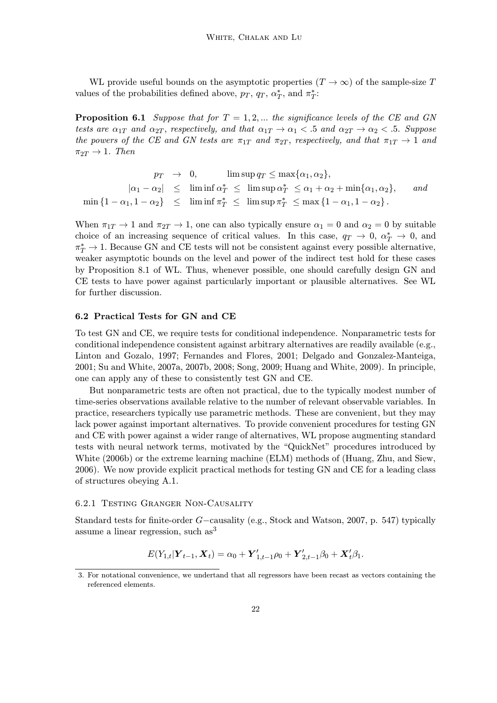WL provide useful bounds on the asymptotic properties  $(T \to \infty)$  of the sample-size T values of the probabilities defined above,  $p_T$ ,  $q_T$ ,  $\alpha^*_T$ , and  $\pi^*_T$ :

**Proposition 6.1** Suppose that for  $T = 1, 2, ...$  the significance levels of the CE and GN tests are  $\alpha_{1T}$  and  $\alpha_{2T}$ , respectively, and that  $\alpha_{1T} \rightarrow \alpha_1 < .5$  and  $\alpha_{2T} \rightarrow \alpha_2 < .5$ . Suppose the powers of the CE and GN tests are  $\pi_{1T}$  and  $\pi_{2T}$ , respectively, and that  $\pi_{1T} \rightarrow 1$  and  $\pi_{2T} \rightarrow 1$ . Then

$$
p_T \rightarrow 0, \qquad \limsup q_T \le \max\{\alpha_1, \alpha_2\},
$$
  
\n
$$
|\alpha_1 - \alpha_2| \le \liminf \alpha_T^* \le \limsup \alpha_T^* \le \alpha_1 + \alpha_2 + \min\{\alpha_1, \alpha_2\}, \qquad and
$$
  
\n
$$
\min\{1 - \alpha_1, 1 - \alpha_2\} \le \liminf \pi_T^* \le \limsup \pi_T^* \le \max\{1 - \alpha_1, 1 - \alpha_2\}.
$$

When  $\pi_{1T} \to 1$  and  $\pi_{2T} \to 1$ , one can also typically ensure  $\alpha_1 = 0$  and  $\alpha_2 = 0$  by suitable choice of an increasing sequence of critical values. In this case,  $q_T \to 0$ ,  $\alpha_T^* \to 0$ , and  $\pi^*_T \to 1$ . Because GN and CE tests will not be consistent against every possible alternative, weaker asymptotic bounds on the level and power of the indirect test hold for these cases by Proposition 8.1 of WL. Thus, whenever possible, one should carefully design GN and CE tests to have power against particularly important or plausible alternatives. See WL for further discussion.

# 6.2 Practical Tests for GN and CE

To test GN and CE, we require tests for conditional independence. Nonparametric tests for conditional independence consistent against arbitrary alternatives are readily available (e.g., Linton and Gozalo, 1997; Fernandes and Flores, 2001; Delgado and Gonzalez-Manteiga, 2001; Su and White, 2007a, 2007b, 2008; Song, 2009; Huang and White, 2009). In principle, one can apply any of these to consistently test GN and CE.

But nonparametric tests are often not practical, due to the typically modest number of time-series observations available relative to the number of relevant observable variables. In practice, researchers typically use parametric methods. These are convenient, but they may lack power against important alternatives. To provide convenient procedures for testing GN and CE with power against a wider range of alternatives, WL propose augmenting standard tests with neural network terms, motivated by the "QuickNet" procedures introduced by White (2006b) or the extreme learning machine (ELM) methods of (Huang, Zhu, and Siew, 2006). We now provide explicit practical methods for testing GN and CE for a leading class of structures obeying A.1.

#### 6.2.1 Testing Granger Non-Causality

Standard tests for finite-order G−causality (e.g., Stock and Watson, 2007, p. 547) typically assume a linear regression, such as<sup>3</sup>

$$
E(Y_{1,t}|\boldsymbol{Y}_{t-1}, \boldsymbol{X}_t) = \alpha_0 + \boldsymbol{Y}'_{1,t-1}\rho_0 + \boldsymbol{Y}'_{2,t-1}\beta_0 + \boldsymbol{X}'_t\beta_1.
$$

<sup>3.</sup> For notational convenience, we undertand that all regressors have been recast as vectors containing the referenced elements.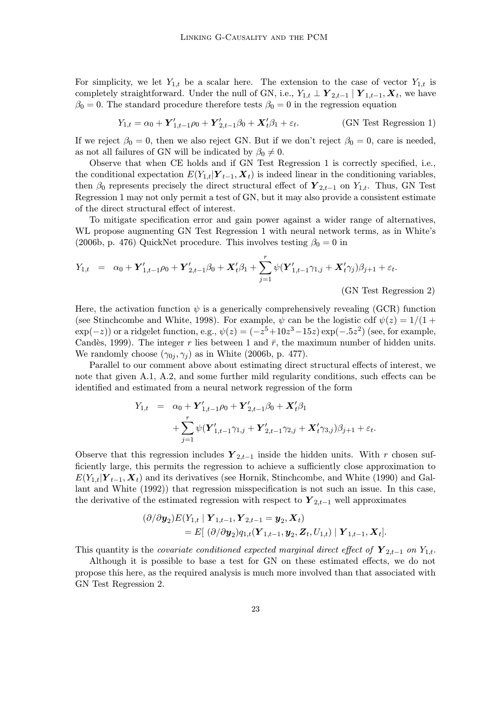For simplicity, we let  $Y_{1,t}$  be a scalar here. The extension to the case of vector  $Y_{1,t}$  is completely straightforward. Under the null of GN, i.e.,  $Y_{1,t} \perp Y_{2,t-1} | Y_{1,t-1}, X_t$ , we have  $\beta_0 = 0$ . The standard procedure therefore tests  $\beta_0 = 0$  in the regression equation

$$
Y_{1,t} = \alpha_0 + \mathbf{Y}'_{1,t-1}\rho_0 + \mathbf{Y}'_{2,t-1}\beta_0 + \mathbf{X}'_t\beta_1 + \varepsilon_t.
$$
 (GN Test Regression 1)

If we reject  $\beta_0 = 0$ , then we also reject GN. But if we don't reject  $\beta_0 = 0$ , care is needed, as not all failures of GN will be indicated by  $\beta_0 \neq 0$ .

Observe that when CE holds and if GN Test Regression 1 is correctly specified, i.e., the conditional expectation  $E(Y_{1,t}|\boldsymbol{Y}_{t-1}, \boldsymbol{X}_t)$  is indeed linear in the conditioning variables, then  $\beta_0$  represents precisely the direct structural effect of  $\mathbf{Y}_{2,t-1}$  on  $Y_{1,t}$ . Thus, GN Test Regression 1 may not only permit a test of GN, but it may also provide a consistent estimate of the direct structural effect of interest.

To mitigate specification error and gain power against a wider range of alternatives, WL propose augmenting GN Test Regression 1 with neural network terms, as in White's (2006b, p. 476) QuickNet procedure. This involves testing  $\beta_0 = 0$  in

$$
Y_{1,t} = \alpha_0 + \mathbf{Y}'_{1,t-1}\rho_0 + \mathbf{Y}'_{2,t-1}\beta_0 + \mathbf{X}'_t\beta_1 + \sum_{j=1}^r \psi(\mathbf{Y}'_{1,t-1}\gamma_{1,j} + \mathbf{X}'_t\gamma_j)\beta_{j+1} + \varepsilon_t.
$$

(GN Test Regression 2)

Here, the activation function  $\psi$  is a generically comprehensively revealing (GCR) function (see Stinchcombe and White, 1998). For example,  $\psi$  can be the logistic cdf  $\psi(z) = 1/(1 +$  $\exp(-z)$ ) or a ridgelet function, e.g.,  $\psi(z) = (-z^5 + 10z^3 - 15z) \exp(-0.5z^2)$  (see, for example, Candès, 1999). The integer r lies between 1 and  $\bar{r}$ , the maximum number of hidden units. We randomly choose  $(\gamma_{0i}, \gamma_i)$  as in White (2006b, p. 477).

Parallel to our comment above about estimating direct structural effects of interest, we note that given A.1, A.2, and some further mild regularity conditions, such effects can be identified and estimated from a neural network regression of the form

$$
Y_{1,t} = \alpha_0 + \mathbf{Y}'_{1,t-1}\rho_0 + \mathbf{Y}'_{2,t-1}\beta_0 + \mathbf{X}'_t\beta_1
$$
  
+ 
$$
\sum_{j=1}^r \psi(\mathbf{Y}'_{1,t-1}\gamma_{1,j} + \mathbf{Y}'_{2,t-1}\gamma_{2,j} + \mathbf{X}'_t\gamma_{3,j})\beta_{j+1} + \varepsilon_t.
$$

Observe that this regression includes  $Y_{2,t-1}$  inside the hidden units. With r chosen sufficiently large, this permits the regression to achieve a sufficiently close approximation to  $E(Y_{1,t}|\boldsymbol{Y}_{t-1}, \boldsymbol{X}_t)$  and its derivatives (see Hornik, Stinchcombe, and White (1990) and Gallant and White (1992)) that regression misspecification is not such an issue. In this case, the derivative of the estimated regression with respect to  $\mathbf{Y}_{2,t-1}$  well approximates

$$
(\partial/\partial \mathbf{y}_2) E(Y_{1,t} | \mathbf{Y}_{1,t-1}, \mathbf{Y}_{2,t-1} = \mathbf{y}_2, \mathbf{X}_t) = E[ (\partial/\partial \mathbf{y}_2) q_{1,t}(\mathbf{Y}_{1,t-1}, \mathbf{y}_2, \mathbf{Z}_t, U_{1,t}) | \mathbf{Y}_{1,t-1}, \mathbf{X}_t].
$$

This quantity is the *covariate conditioned expected marginal direct effect of*  $Y_{2,t-1}$  on  $Y_{1,t}$ .

Although it is possible to base a test for GN on these estimated effects, we do not propose this here, as the required analysis is much more involved than that associated with GN Test Regression 2.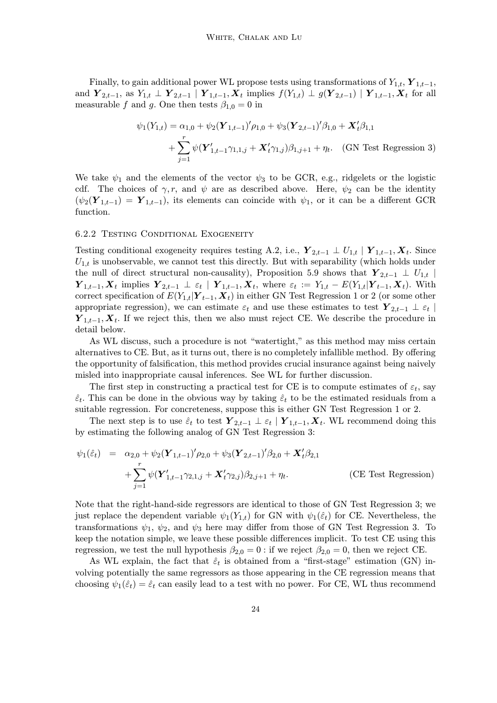Finally, to gain additional power WL propose tests using transformations of  $Y_{1,t}$ ,  $Y_{1,t-1}$ , and  $Y_{2,t-1}$ , as  $Y_{1,t} \perp Y_{2,t-1} | Y_{1,t-1}, X_t$  implies  $f(Y_{1,t}) \perp g(Y_{2,t-1}) | Y_{1,t-1}, X_t$  for all measurable f and g. One then tests  $\beta_{1,0} = 0$  in

$$
\psi_1(Y_{1,t}) = \alpha_{1,0} + \psi_2(\mathbf{Y}_{1,t-1})'\rho_{1,0} + \psi_3(\mathbf{Y}_{2,t-1})'\beta_{1,0} + \mathbf{X}'_t\beta_{1,1} + \sum_{j=1}^r \psi(\mathbf{Y}'_{1,t-1}\gamma_{1,1,j} + \mathbf{X}'_t\gamma_{1,j})\beta_{1,j+1} + \eta_t.
$$
 (GN Test Regression 3)

We take  $\psi_1$  and the elements of the vector  $\psi_3$  to be GCR, e.g., ridgelets or the logistic cdf. The choices of  $\gamma$ , r, and  $\psi$  are as described above. Here,  $\psi_2$  can be the identity  $(\psi_2(\mathbf{Y}_{1,t-1}) = \mathbf{Y}_{1,t-1}),$  its elements can coincide with  $\psi_1$ , or it can be a different GCR function.

# 6.2.2 Testing Conditional Exogeneity

Testing conditional exogeneity requires testing A.2, i.e.,  $\mathbf{Y}_{2,t-1} \perp U_{1,t} | \mathbf{Y}_{1,t-1}, \mathbf{X}_t$ . Since  $U_{1,t}$  is unobservable, we cannot test this directly. But with separability (which holds under the null of direct structural non-causality), Proposition 5.9 shows that  $Y_{2,t-1} \perp U_{1,t}$  $\boldsymbol{Y}_{1,t-1}, \boldsymbol{X}_t$  implies  $\boldsymbol{Y}_{2,t-1} \perp \varepsilon_t \mid \boldsymbol{Y}_{1,t-1}, \boldsymbol{X}_t$ , where  $\varepsilon_t := Y_{1,t} - E(Y_{1,t} | \boldsymbol{Y}_{t-1}, \boldsymbol{X}_t)$ . With correct specification of  $E(Y_{1,t}|\boldsymbol{Y}_{t-1}, \boldsymbol{X}_t)$  in either GN Test Regression 1 or 2 (or some other appropriate regression), we can estimate  $\varepsilon_t$  and use these estimates to test  $\boldsymbol{Y}_{2,t-1} \perp \varepsilon_t$  $Y_{1,t-1}, X_t$ . If we reject this, then we also must reject CE. We describe the procedure in detail below.

As WL discuss, such a procedure is not "watertight," as this method may miss certain alternatives to CE. But, as it turns out, there is no completely infallible method. By offering the opportunity of falsification, this method provides crucial insurance against being naively misled into inappropriate causal inferences. See WL for further discussion.

The first step in constructing a practical test for CE is to compute estimates of  $\varepsilon_t$ , say  $\hat{\varepsilon}_t$ . This can be done in the obvious way by taking  $\hat{\varepsilon}_t$  to be the estimated residuals from a suitable regression. For concreteness, suppose this is either GN Test Regression 1 or 2.

The next step is to use  $\hat{\varepsilon}_t$  to test  $\boldsymbol{Y}_{2,t-1} \perp \varepsilon_t | \boldsymbol{Y}_{1,t-1}, \boldsymbol{X}_t$ . WL recommend doing this by estimating the following analog of GN Test Regression 3:

$$
\psi_1(\hat{\varepsilon}_t) = \alpha_{2,0} + \psi_2 (\mathbf{Y}_{1,t-1})' \rho_{2,0} + \psi_3 (\mathbf{Y}_{2,t-1})' \beta_{2,0} + \mathbf{X}_t' \beta_{2,1} + \sum_{j=1}^r \psi (\mathbf{Y}_{1,t-1}' \gamma_{2,1,j} + \mathbf{X}_t' \gamma_{2,j}) \beta_{2,j+1} + \eta_t.
$$
 (CE Test Regression)

Note that the right-hand-side regressors are identical to those of GN Test Regression 3; we just replace the dependent variable  $\psi_1(Y_{1,t})$  for GN with  $\psi_1(\hat{\varepsilon}_t)$  for CE. Nevertheless, the transformations  $\psi_1$ ,  $\psi_2$ , and  $\psi_3$  here may differ from those of GN Test Regression 3. To keep the notation simple, we leave these possible differences implicit. To test CE using this regression, we test the null hypothesis  $\beta_{2,0} = 0$ : if we reject  $\beta_{2,0} = 0$ , then we reject CE.

As WL explain, the fact that  $\hat{\epsilon}_t$  is obtained from a "first-stage" estimation (GN) involving potentially the same regressors as those appearing in the CE regression means that choosing  $\psi_1(\hat{\varepsilon}_t) = \hat{\varepsilon}_t$  can easily lead to a test with no power. For CE, WL thus recommend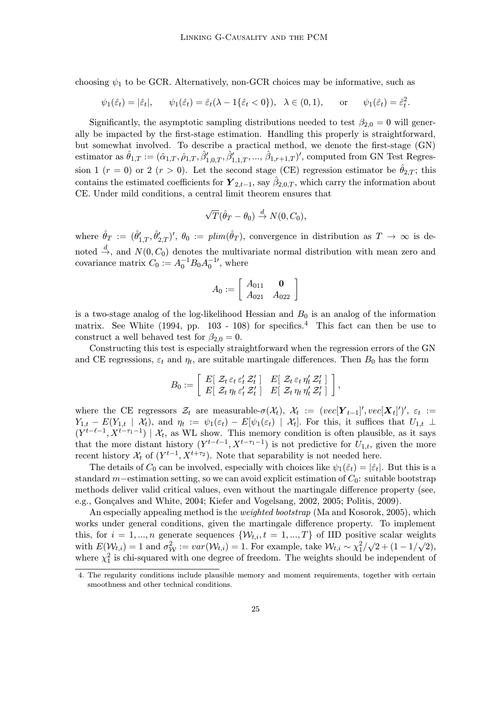choosing  $\psi_1$  to be GCR. Alternatively, non-GCR choices may be informative, such as

$$
\psi_1(\hat{\varepsilon}_t) = |\hat{\varepsilon}_t|, \qquad \psi_1(\hat{\varepsilon}_t) = \hat{\varepsilon}_t(\lambda - 1\{\hat{\varepsilon}_t < 0\}), \quad \lambda \in (0, 1), \qquad \text{or} \qquad \psi_1(\hat{\varepsilon}_t) = \hat{\varepsilon}_t^2.
$$

Significantly, the asymptotic sampling distributions needed to test  $\beta_{2,0} = 0$  will generally be impacted by the first-stage estimation. Handling this properly is straightforward, but somewhat involved. To describe a practical method, we denote the first-stage (GN) estimator as  $\hat{\theta}_{1,T} := (\hat{\alpha}_{1,T}, \hat{\rho}_{1,T}, \hat{\beta}'_{1,0,T}, \hat{\beta}'_{1,1,T}, ..., \hat{\beta}_{1,r+1,T})'$ , computed from GN Test Regression 1 (r = 0) or 2 (r > 0). Let the second stage (CE) regression estimator be  $\hat{\theta}_{2,T}$ ; this contains the estimated coefficients for  $\mathbf{Y}_{2,t-1}$ , say  $\hat{\beta}_{2,0,T}$ , which carry the information about CE. Under mild conditions, a central limit theorem ensures that

$$
\sqrt{T}(\hat{\theta}_T - \theta_0) \stackrel{d}{\rightarrow} N(0, C_0),
$$

where  $\hat{\theta}_T := (\hat{\theta}'_{1,T}, \hat{\theta}'_{2,T})'$ ,  $\theta_0 := \text{plim}(\hat{\theta}_T)$ , convergence in distribution as  $T \to \infty$  is denoted  $\stackrel{d}{\rightarrow}$ , and  $N(0, C_0)$  denotes the multivariate normal distribution with mean zero and covariance matrix  $C_0 := A_0^{-1} B_0 A_0^{-1}$ , where

$$
A_0 := \left[ \begin{array}{cc} A_{011} & \mathbf{0} \\ A_{021} & A_{022} \end{array} \right]
$$

is a two-stage analog of the log-likelihood Hessian and  $B_0$  is an analog of the information matrix. See White  $(1994, pp. 103 - 108)$  for specifics.<sup>4</sup> This fact can then be use to construct a well behaved test for  $\beta_{2,0} = 0$ .

Constructing this test is especially straightforward when the regression errors of the GN and CE regressions,  $\varepsilon_t$  and  $\eta_t$ , are suitable martingale differences. Then  $B_0$  has the form

$$
B_0 := \left[ \begin{array}{cc} E[ \ Z_t \ \varepsilon_t \ \varepsilon'_t \ Z'_t \end{array} \right] \quad E[ \ Z_t \ \varepsilon_t \ \eta'_t \ Z'_t \ ] \ \left[ E[ \ Z_t \ \eta_t \ \varepsilon'_t \ Z'_t \end{array} \right],
$$

where the CE regressors  $\mathcal{Z}_t$  are measurable- $\sigma(\mathcal{X}_t)$ ,  $\mathcal{X}_t := (vec[\boldsymbol{Y}_{t-1}]', vec[\boldsymbol{X}_t]')', \varepsilon_t :=$  $Y_{1,t} - E(Y_{1,t} \mid \mathcal{X}_t)$ , and  $\eta_t := \psi_1(\varepsilon_t) - E[\psi_1(\varepsilon_t) \mid \mathcal{X}_t]$ . For this, it suffices that  $U_{1,t} \perp$  $(Y^{t-\ell-1}, X^{t-\tau_1-1}) \mid \mathcal{X}_t$ , as WL show. This memory condition is often plausible, as it says that the more distant history  $(Y^{t-\ell-1}, X^{t-\tau_1-1})$  is not predictive for  $U_{1,t}$ , given the more recent history  $\mathcal{X}_t$  of  $(Y^{t-1}, X^{t+\tau_2})$ . Note that separability is not needed here.

The details of  $C_0$  can be involved, especially with choices like  $\psi_1(\hat{\varepsilon}_t) = |\hat{\varepsilon}_t|$ . But this is a standard m−estimation setting, so we can avoid explicit estimation of  $C_0$ : suitable bootstrap methods deliver valid critical values, even without the martingale difference property (see, e.g., Gonçalves and White, 2004; Kiefer and Vogelsang, 2002, 2005; Politis, 2009).

An especially appealing method is the *weighted bootstrap* (Ma and Kosorok, 2005), which works under general conditions, given the martingale difference property. To implement this, for  $i = 1, ..., n$  generate sequences  $\{W_{t,i}, t = 1, ..., T\}$  of IID positive scalar weights with  $E(\mathcal{W}_{t,i}) = 1$  and  $\sigma_{\mathcal{W}}^2 := var(\mathcal{W}_{t,i}) = 1$ . For example, take  $\mathcal{W}_{t,i} \sim \chi_1^2/\sqrt{2} + (1 - 1/\sqrt{2})$ , where  $\chi_1^2$  is chi-squared with one degree of freedom. The weights should be independent of

<sup>4.</sup> The regularity conditions include plausible memory and moment requirements, together with certain smoothness and other technical conditions.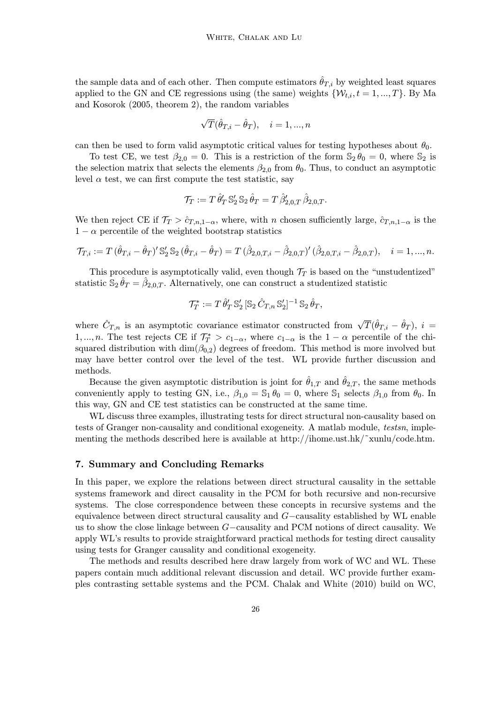the sample data and of each other. Then compute estimators  $\hat{\theta}_{T,i}$  by weighted least squares applied to the GN and CE regressions using (the same) weights  $\{W_{t,i}, t = 1, ..., T\}$ . By Ma and Kosorok (2005, theorem 2), the random variables

$$
\sqrt{T}(\hat{\theta}_{T,i} - \hat{\theta}_T), \quad i = 1, ..., n
$$

can then be used to form valid asymptotic critical values for testing hypotheses about  $\theta_0$ .

To test CE, we test  $\beta_{2,0} = 0$ . This is a restriction of the form  $\mathbb{S}_2 \theta_0 = 0$ , where  $\mathbb{S}_2$  is the selection matrix that selects the elements  $\beta_{2,0}$  from  $\theta_0$ . Thus, to conduct an asymptotic level  $\alpha$  test, we can first compute the test statistic, say

$$
\mathcal{T}_T := T \,\hat{\theta}'_T \,\mathbb{S}'_2 \,\mathbb{S}_2 \,\hat{\theta}_T = T \,\hat{\beta}'_{2,0,T} \,\hat{\beta}_{2,0,T}.
$$

We then reject CE if  $\mathcal{T}_T > \hat{c}_{T,n,1-\alpha}$ , where, with n chosen sufficiently large,  $\hat{c}_{T,n,1-\alpha}$  is the  $1 - \alpha$  percentile of the weighted bootstrap statistics

$$
\mathcal{T}_{T,i} := T (\hat{\theta}_{T,i} - \hat{\theta}_T)' \mathbb{S}_2' \mathbb{S}_2 (\hat{\theta}_{T,i} - \hat{\theta}_T) = T (\hat{\beta}_{2,0,T,i} - \hat{\beta}_{2,0,T}')' (\hat{\beta}_{2,0,T,i} - \hat{\beta}_{2,0,T}), \quad i = 1,...,n.
$$

This procedure is asymptotically valid, even though  $\mathcal{T}_T$  is based on the "unstudentized" statistic  $\mathbb{S}_2 \hat{\theta}_T = \hat{\beta}_{2,0,T}$ . Alternatively, one can construct a studentized statistic

$$
\mathcal{T}_T^* := T \,\hat{\theta}_T' \,\mathbb{S}_2' \, [\mathbb{S}_2 \,\hat{C}_{T,n} \,\mathbb{S}_2']^{-1} \,\mathbb{S}_2 \,\hat{\theta}_T,
$$

where  $\hat{C}_{T,n}$  is an asymptotic covariance estimator constructed from  $\sqrt{T}(\hat{\theta}_{T,i} - \hat{\theta}_T), i =$ 1, ..., *n*. The test rejects CE if  $\mathcal{T}_{T}^{*} > c_{1-\alpha}$ , where  $c_{1-\alpha}$  is the  $1-\alpha$  percentile of the chisquared distribution with  $\dim(\beta_{0,2})$  degrees of freedom. This method is more involved but may have better control over the level of the test. WL provide further discussion and methods.

Because the given asymptotic distribution is joint for  $\hat{\theta}_{1,T}$  and  $\hat{\theta}_{2,T}$ , the same methods conveniently apply to testing GN, i.e.,  $\beta_{1,0} = \mathbb{S}_1 \theta_0 = 0$ , where  $\mathbb{S}_1$  selects  $\beta_{1,0}$  from  $\theta_0$ . In this way, GN and CE test statistics can be constructed at the same time.

WL discuss three examples, illustrating tests for direct structural non-causality based on tests of Granger non-causality and conditional exogeneity. A matlab module, testsn, implementing the methods described here is available at http://ihome.ust.hk/˜xunlu/code.htm.

# 7. Summary and Concluding Remarks

In this paper, we explore the relations between direct structural causality in the settable systems framework and direct causality in the PCM for both recursive and non-recursive systems. The close correspondence between these concepts in recursive systems and the equivalence between direct structural causality and G−causality established by WL enable us to show the close linkage between G−causality and PCM notions of direct causality. We apply WL's results to provide straightforward practical methods for testing direct causality using tests for Granger causality and conditional exogeneity.

The methods and results described here draw largely from work of WC and WL. These papers contain much additional relevant discussion and detail. WC provide further examples contrasting settable systems and the PCM. Chalak and White (2010) build on WC,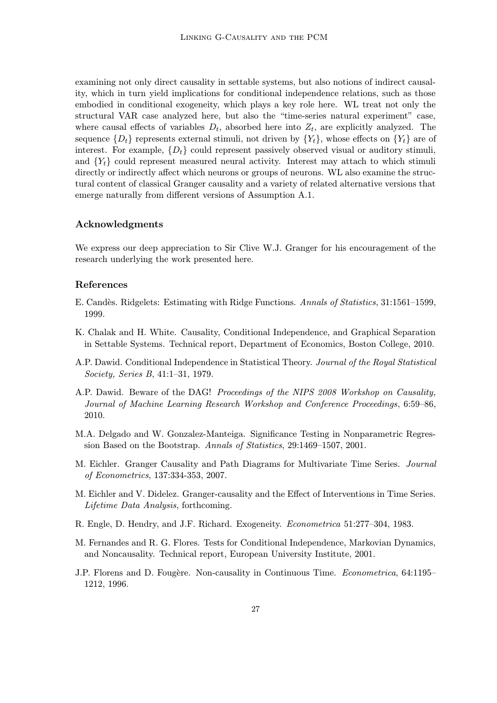examining not only direct causality in settable systems, but also notions of indirect causality, which in turn yield implications for conditional independence relations, such as those embodied in conditional exogeneity, which plays a key role here. WL treat not only the structural VAR case analyzed here, but also the "time-series natural experiment" case, where causal effects of variables  $D_t$ , absorbed here into  $Z_t$ , are explicitly analyzed. The sequence  $\{D_t\}$  represents external stimuli, not driven by  $\{Y_t\}$ , whose effects on  $\{Y_t\}$  are of interest. For example,  $\{D_t\}$  could represent passively observed visual or auditory stimuli, and  ${Y_t}$  could represent measured neural activity. Interest may attach to which stimuli directly or indirectly affect which neurons or groups of neurons. WL also examine the structural content of classical Granger causality and a variety of related alternative versions that emerge naturally from different versions of Assumption A.1.

## Acknowledgments

We express our deep appreciation to Sir Clive W.J. Granger for his encouragement of the research underlying the work presented here.

#### References

- E. Cand`es. Ridgelets: Estimating with Ridge Functions. Annals of Statistics, 31:1561–1599, 1999.
- K. Chalak and H. White. Causality, Conditional Independence, and Graphical Separation in Settable Systems. Technical report, Department of Economics, Boston College, 2010.
- A.P. Dawid. Conditional Independence in Statistical Theory. Journal of the Royal Statistical Society, Series B, 41:1–31, 1979.
- A.P. Dawid. Beware of the DAG! Proceedings of the NIPS 2008 Workshop on Causality, Journal of Machine Learning Research Workshop and Conference Proceedings, 6:59–86, 2010.
- M.A. Delgado and W. Gonzalez-Manteiga. Significance Testing in Nonparametric Regression Based on the Bootstrap. Annals of Statistics, 29:1469–1507, 2001.
- M. Eichler. Granger Causality and Path Diagrams for Multivariate Time Series. Journal of Econometrics, 137:334-353, 2007.
- M. Eichler and V. Didelez. Granger-causality and the Effect of Interventions in Time Series. Lifetime Data Analysis, forthcoming.
- R. Engle, D. Hendry, and J.F. Richard. Exogeneity. Econometrica 51:277–304, 1983.
- M. Fernandes and R. G. Flores. Tests for Conditional Independence, Markovian Dynamics, and Noncausality. Technical report, European University Institute, 2001.
- J.P. Florens and D. Fougère. Non-causality in Continuous Time. Econometrica, 64:1195– 1212, 1996.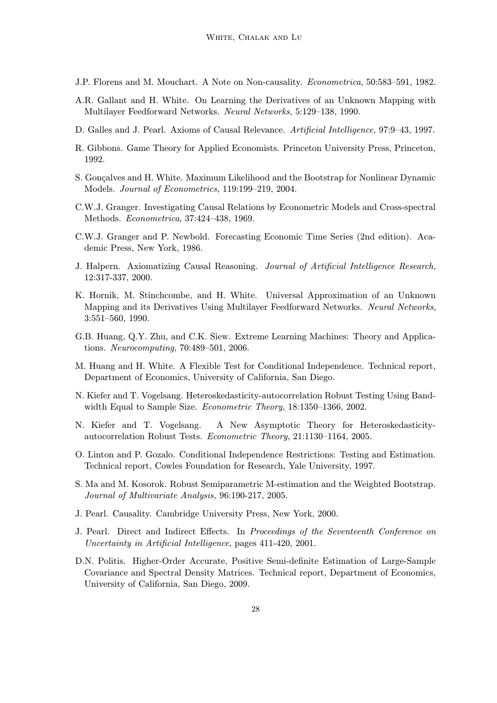- J.P. Florens and M. Mouchart. A Note on Non-causality. Econometrica, 50:583–591, 1982.
- A.R. Gallant and H. White. On Learning the Derivatives of an Unknown Mapping with Multilayer Feedforward Networks. Neural Networks, 5:129–138, 1990.
- D. Galles and J. Pearl. Axioms of Causal Relevance. Artificial Intelligence, 97:9–43, 1997.
- R. Gibbons. Game Theory for Applied Economists. Princeton University Press, Princeton, 1992.
- S. Gonçalves and H. White. Maximum Likelihood and the Bootstrap for Nonlinear Dynamic Models. Journal of Econometrics, 119:199–219, 2004.
- C.W.J. Granger. Investigating Causal Relations by Econometric Models and Cross-spectral Methods. Econometrica, 37:424–438, 1969.
- C.W.J. Granger and P. Newbold. Forecasting Economic Time Series (2nd edition). Academic Press, New York, 1986.
- J. Halpern. Axiomatizing Causal Reasoning. Journal of Artificial Intelligence Research, 12:317-337, 2000.
- K. Hornik, M. Stinchcombe, and H. White. Universal Approximation of an Unknown Mapping and its Derivatives Using Multilayer Feedforward Networks. Neural Networks, 3:551–560, 1990.
- G.B. Huang, Q.Y. Zhu, and C.K. Siew. Extreme Learning Machines: Theory and Applications. Neurocomputing, 70:489–501, 2006.
- M. Huang and H. White. A Flexible Test for Conditional Independence. Technical report, Department of Economics, University of California, San Diego.
- N. Kiefer and T. Vogelsang. Heteroskedasticity-autocorrelation Robust Testing Using Bandwidth Equal to Sample Size. *Econometric Theory*, 18:1350–1366, 2002.
- N. Kiefer and T. Vogelsang. A New Asymptotic Theory for Heteroskedasticityautocorrelation Robust Tests. Econometric Theory, 21:1130–1164, 2005.
- O. Linton and P. Gozalo. Conditional Independence Restrictions: Testing and Estimation. Technical report, Cowles Foundation for Research, Yale University, 1997.
- S. Ma and M. Kosorok. Robust Semiparametric M-estimation and the Weighted Bootstrap. Journal of Multivariate Analysis, 96:190-217, 2005.
- J. Pearl. Causality. Cambridge University Press, New York, 2000.
- J. Pearl. Direct and Indirect Effects. In Proceedings of the Seventeenth Conference on Uncertainty in Artificial Intelligence, pages 411-420, 2001.
- D.N. Politis. Higher-Order Accurate, Positive Semi-definite Estimation of Large-Sample Covariance and Spectral Density Matrices. Technical report, Department of Economics, University of California, San Diego, 2009.